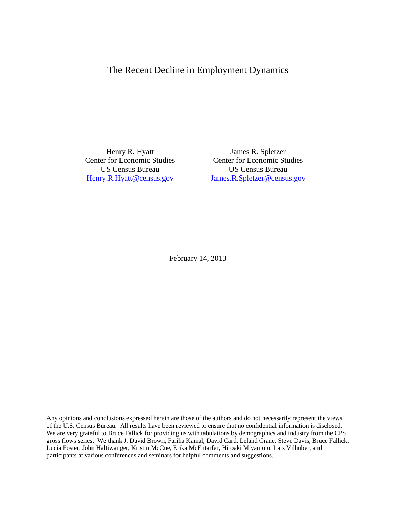# The Recent Decline in Employment Dynamics

 Henry R. Hyatt Center for Economic Studies US Census Bureau Henry.R.Hyatt@census.gov

 James R. Spletzer Center for Economic Studies US Census Bureau James.R.Spletzer@census.gov

February 14, 2013

Any opinions and conclusions expressed herein are those of the authors and do not necessarily represent the views of the U.S. Census Bureau. All results have been reviewed to ensure that no confidential information is disclosed. We are very grateful to Bruce Fallick for providing us with tabulations by demographics and industry from the CPS gross flows series. We thank J. David Brown, Fariha Kamal, David Card, Leland Crane, Steve Davis, Bruce Fallick, Lucia Foster, John Haltiwanger, Kristin McCue, Erika McEntarfer, Hiroaki Miyamoto, Lars Vilhuber, and participants at various conferences and seminars for helpful comments and suggestions.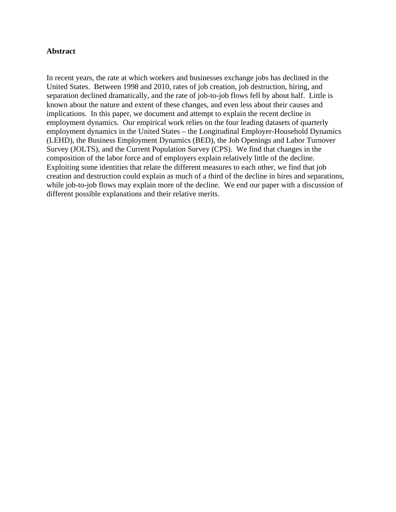# **Abstract**

In recent years, the rate at which workers and businesses exchange jobs has declined in the United States. Between 1998 and 2010, rates of job creation, job destruction, hiring, and separation declined dramatically, and the rate of job-to-job flows fell by about half. Little is known about the nature and extent of these changes, and even less about their causes and implications. In this paper, we document and attempt to explain the recent decline in employment dynamics. Our empirical work relies on the four leading datasets of quarterly employment dynamics in the United States – the Longitudinal Employer-Household Dynamics (LEHD), the Business Employment Dynamics (BED), the Job Openings and Labor Turnover Survey (JOLTS), and the Current Population Survey (CPS). We find that changes in the composition of the labor force and of employers explain relatively little of the decline. Exploiting some identities that relate the different measures to each other, we find that job creation and destruction could explain as much of a third of the decline in hires and separations, while job-to-job flows may explain more of the decline. We end our paper with a discussion of different possible explanations and their relative merits.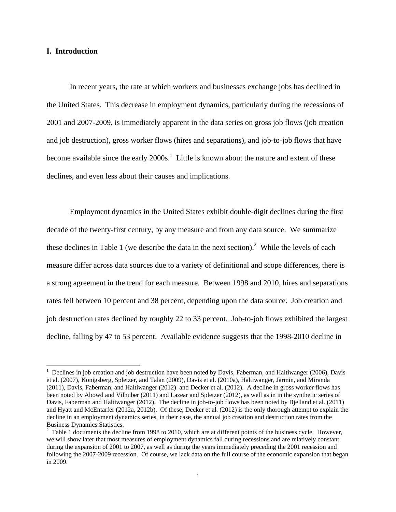## **I. Introduction**

 $\overline{a}$ 

 In recent years, the rate at which workers and businesses exchange jobs has declined in the United States. This decrease in employment dynamics, particularly during the recessions of 2001 and 2007-2009, is immediately apparent in the data series on gross job flows (job creation and job destruction), gross worker flows (hires and separations), and job-to-job flows that have become available since the early  $2000s<sup>1</sup>$ . Little is known about the nature and extent of these declines, and even less about their causes and implications.

 Employment dynamics in the United States exhibit double-digit declines during the first decade of the twenty-first century, by any measure and from any data source. We summarize these declines in Table 1 (we describe the data in the next section).<sup>2</sup> While the levels of each measure differ across data sources due to a variety of definitional and scope differences, there is a strong agreement in the trend for each measure. Between 1998 and 2010, hires and separations rates fell between 10 percent and 38 percent, depending upon the data source. Job creation and job destruction rates declined by roughly 22 to 33 percent. Job-to-job flows exhibited the largest decline, falling by 47 to 53 percent. Available evidence suggests that the 1998-2010 decline in

 $1$  Declines in job creation and job destruction have been noted by Davis, Faberman, and Haltiwanger (2006), Davis et al. (2007), Konigsberg, Spletzer, and Talan (2009), Davis et al. (2010a), Haltiwanger, Jarmin, and Miranda (2011), Davis, Faberman, and Haltiwanger (2012) and Decker et al. (2012). A decline in gross worker flows has been noted by Abowd and Vilhuber (2011) and Lazear and Spletzer (2012), as well as in in the synthetic series of Davis, Faberman and Haltiwanger (2012). The decline in job-to-job flows has been noted by Bjelland et al. (2011) and Hyatt and McEntarfer (2012a, 2012b). Of these, Decker et al. (2012) is the only thorough attempt to explain the decline in an employment dynamics series, in their case, the annual job creation and destruction rates from the Business Dynamics Statistics.

 $2 \text{ Table 1 documents}$  the decline from 1998 to 2010, which are at different points of the business cycle. However, we will show later that most measures of employment dynamics fall during recessions and are relatively constant during the expansion of 2001 to 2007, as well as during the years immediately preceding the 2001 recession and following the 2007-2009 recession. Of course, we lack data on the full course of the economic expansion that began in 2009.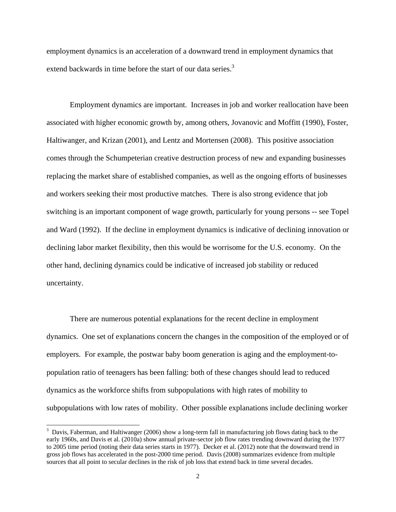employment dynamics is an acceleration of a downward trend in employment dynamics that extend backwards in time before the start of our data series.<sup>3</sup>

 Employment dynamics are important. Increases in job and worker reallocation have been associated with higher economic growth by, among others, Jovanovic and Moffitt (1990), Foster, Haltiwanger, and Krizan (2001), and Lentz and Mortensen (2008). This positive association comes through the Schumpeterian creative destruction process of new and expanding businesses replacing the market share of established companies, as well as the ongoing efforts of businesses and workers seeking their most productive matches. There is also strong evidence that job switching is an important component of wage growth, particularly for young persons -- see Topel and Ward (1992). If the decline in employment dynamics is indicative of declining innovation or declining labor market flexibility, then this would be worrisome for the U.S. economy. On the other hand, declining dynamics could be indicative of increased job stability or reduced uncertainty.

 There are numerous potential explanations for the recent decline in employment dynamics. One set of explanations concern the changes in the composition of the employed or of employers. For example, the postwar baby boom generation is aging and the employment-topopulation ratio of teenagers has been falling: both of these changes should lead to reduced dynamics as the workforce shifts from subpopulations with high rates of mobility to subpopulations with low rates of mobility. Other possible explanations include declining worker

 $3$  Davis, Faberman, and Haltiwanger (2006) show a long-term fall in manufacturing job flows dating back to the early 1960s, and Davis et al. (2010a) show annual private-sector job flow rates trending downward during the 1977 to 2005 time period (noting their data series starts in 1977). Decker et al. (2012) note that the downward trend in gross job flows has accelerated in the post-2000 time period. Davis (2008) summarizes evidence from multiple sources that all point to secular declines in the risk of job loss that extend back in time several decades.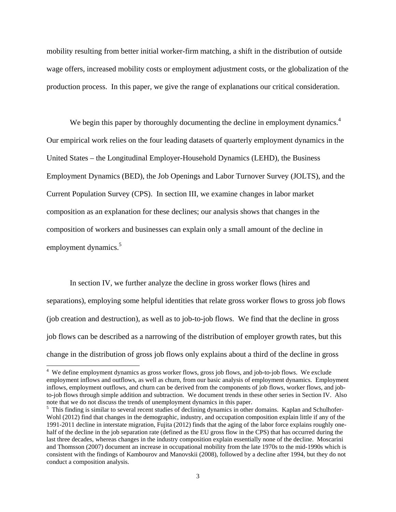mobility resulting from better initial worker-firm matching, a shift in the distribution of outside wage offers, increased mobility costs or employment adjustment costs, or the globalization of the production process. In this paper, we give the range of explanations our critical consideration.

We begin this paper by thoroughly documenting the decline in employment dynamics.<sup>4</sup> Our empirical work relies on the four leading datasets of quarterly employment dynamics in the United States – the Longitudinal Employer-Household Dynamics (LEHD), the Business Employment Dynamics (BED), the Job Openings and Labor Turnover Survey (JOLTS), and the Current Population Survey (CPS). In section III, we examine changes in labor market composition as an explanation for these declines; our analysis shows that changes in the composition of workers and businesses can explain only a small amount of the decline in employment dynamics.<sup>5</sup>

 In section IV, we further analyze the decline in gross worker flows (hires and separations), employing some helpful identities that relate gross worker flows to gross job flows (job creation and destruction), as well as to job-to-job flows. We find that the decline in gross job flows can be described as a narrowing of the distribution of employer growth rates, but this change in the distribution of gross job flows only explains about a third of the decline in gross

<sup>&</sup>lt;sup>4</sup> We define employment dynamics as gross worker flows, gross job flows, and job-to-job flows. We exclude employment inflows and outflows, as well as churn, from our basic analysis of employment dynamics. Employment inflows, employment outflows, and churn can be derived from the components of job flows, worker flows, and jobto-job flows through simple addition and subtraction. We document trends in these other series in Section IV. Also note that we do not discuss the trends of unemployment dynamics in this paper.

<sup>&</sup>lt;sup>5</sup> This finding is similar to several recent studies of declining dynamics in other domains. Kaplan and Schulhofer-Wohl (2012) find that changes in the demographic, industry, and occupation composition explain little if any of the 1991-2011 decline in interstate migration, Fujita (2012) finds that the aging of the labor force explains roughly onehalf of the decline in the job separation rate (defined as the EU gross flow in the CPS) that has occurred during the last three decades, whereas changes in the industry composition explain essentially none of the decline. Moscarini and Thomsson (2007) document an increase in occupational mobility from the late 1970s to the mid-1990s which is consistent with the findings of Kambourov and Manovskii (2008), followed by a decline after 1994, but they do not conduct a composition analysis.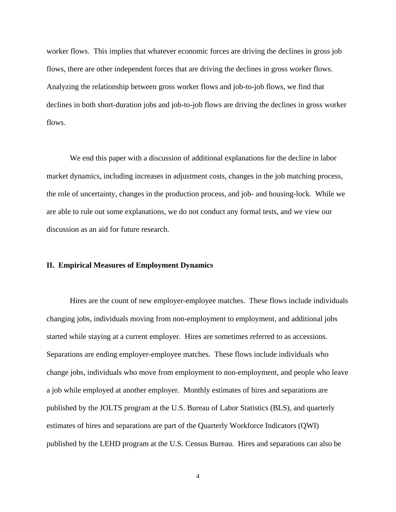worker flows. This implies that whatever economic forces are driving the declines in gross job flows, there are other independent forces that are driving the declines in gross worker flows. Analyzing the relationship between gross worker flows and job-to-job flows, we find that declines in both short-duration jobs and job-to-job flows are driving the declines in gross worker flows.

 We end this paper with a discussion of additional explanations for the decline in labor market dynamics, including increases in adjustment costs, changes in the job matching process, the role of uncertainty, changes in the production process, and job- and housing-lock. While we are able to rule out some explanations, we do not conduct any formal tests, and we view our discussion as an aid for future research.

## **II. Empirical Measures of Employment Dynamics**

 Hires are the count of new employer-employee matches. These flows include individuals changing jobs, individuals moving from non-employment to employment, and additional jobs started while staying at a current employer. Hires are sometimes referred to as accessions. Separations are ending employer-employee matches. These flows include individuals who change jobs, individuals who move from employment to non-employment, and people who leave a job while employed at another employer. Monthly estimates of hires and separations are published by the JOLTS program at the U.S. Bureau of Labor Statistics (BLS), and quarterly estimates of hires and separations are part of the Quarterly Workforce Indicators (QWI) published by the LEHD program at the U.S. Census Bureau. Hires and separations can also be

4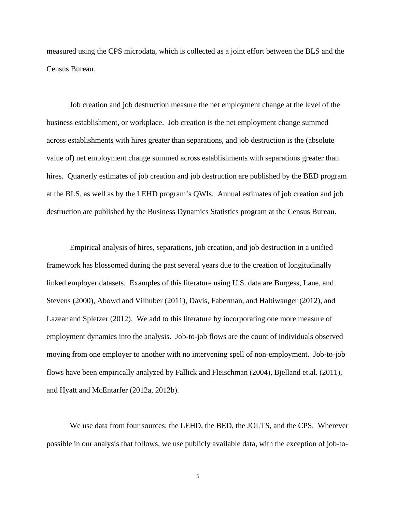measured using the CPS microdata, which is collected as a joint effort between the BLS and the Census Bureau.

 Job creation and job destruction measure the net employment change at the level of the business establishment, or workplace. Job creation is the net employment change summed across establishments with hires greater than separations, and job destruction is the (absolute value of) net employment change summed across establishments with separations greater than hires. Quarterly estimates of job creation and job destruction are published by the BED program at the BLS, as well as by the LEHD program's QWIs. Annual estimates of job creation and job destruction are published by the Business Dynamics Statistics program at the Census Bureau.

 Empirical analysis of hires, separations, job creation, and job destruction in a unified framework has blossomed during the past several years due to the creation of longitudinally linked employer datasets. Examples of this literature using U.S. data are Burgess, Lane, and Stevens (2000), Abowd and Vilhuber (2011), Davis, Faberman, and Haltiwanger (2012), and Lazear and Spletzer (2012). We add to this literature by incorporating one more measure of employment dynamics into the analysis. Job-to-job flows are the count of individuals observed moving from one employer to another with no intervening spell of non-employment. Job-to-job flows have been empirically analyzed by Fallick and Fleischman (2004), Bjelland et.al. (2011), and Hyatt and McEntarfer (2012a, 2012b).

 We use data from four sources: the LEHD, the BED, the JOLTS, and the CPS. Wherever possible in our analysis that follows, we use publicly available data, with the exception of job-to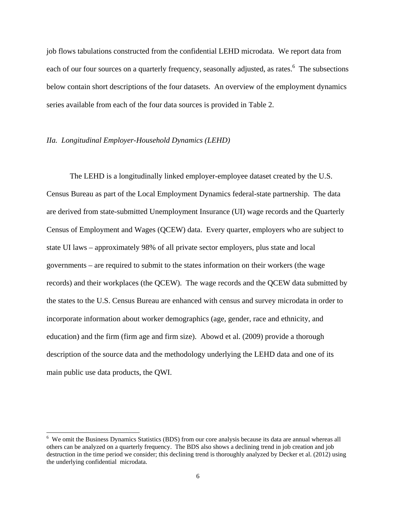job flows tabulations constructed from the confidential LEHD microdata. We report data from each of our four sources on a quarterly frequency, seasonally adjusted, as rates.<sup>6</sup> The subsections below contain short descriptions of the four datasets. An overview of the employment dynamics series available from each of the four data sources is provided in Table 2.

#### *IIa. Longitudinal Employer-Household Dynamics (LEHD)*

 $\overline{a}$ 

 The LEHD is a longitudinally linked employer-employee dataset created by the U.S. Census Bureau as part of the Local Employment Dynamics federal-state partnership. The data are derived from state-submitted Unemployment Insurance (UI) wage records and the Quarterly Census of Employment and Wages (QCEW) data. Every quarter, employers who are subject to state UI laws – approximately 98% of all private sector employers, plus state and local governments – are required to submit to the states information on their workers (the wage records) and their workplaces (the QCEW). The wage records and the QCEW data submitted by the states to the U.S. Census Bureau are enhanced with census and survey microdata in order to incorporate information about worker demographics (age, gender, race and ethnicity, and education) and the firm (firm age and firm size). Abowd et al. (2009) provide a thorough description of the source data and the methodology underlying the LEHD data and one of its main public use data products, the QWI.

<sup>&</sup>lt;sup>6</sup> We omit the Business Dynamics Statistics (BDS) from our core analysis because its data are annual whereas all others can be analyzed on a quarterly frequency. The BDS also shows a declining trend in job creation and job destruction in the time period we consider; this declining trend is thoroughly analyzed by Decker et al. (2012) using the underlying confidential microdata.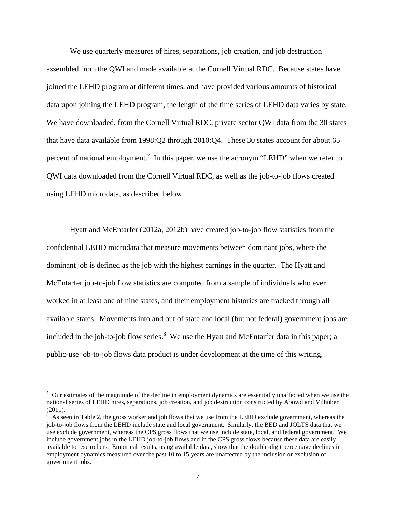We use quarterly measures of hires, separations, job creation, and job destruction assembled from the QWI and made available at the Cornell Virtual RDC. Because states have joined the LEHD program at different times, and have provided various amounts of historical data upon joining the LEHD program, the length of the time series of LEHD data varies by state. We have downloaded, from the Cornell Virtual RDC, private sector QWI data from the 30 states that have data available from 1998:Q2 through 2010:Q4. These 30 states account for about 65 percent of national employment.<sup>7</sup> In this paper, we use the acronym "LEHD" when we refer to QWI data downloaded from the Cornell Virtual RDC, as well as the job-to-job flows created using LEHD microdata, as described below.

 Hyatt and McEntarfer (2012a, 2012b) have created job-to-job flow statistics from the confidential LEHD microdata that measure movements between dominant jobs, where the dominant job is defined as the job with the highest earnings in the quarter. The Hyatt and McEntarfer job-to-job flow statistics are computed from a sample of individuals who ever worked in at least one of nine states, and their employment histories are tracked through all available states. Movements into and out of state and local (but not federal) government jobs are included in the job-to-job flow series. $8$  We use the Hyatt and McEntarfer data in this paper; a public-use job-to-job flows data product is under development at the time of this writing.

 $\alpha$  Our estimates of the magnitude of the decline in employment dynamics are essentially unaffected when we use the national series of LEHD hires, separations, job creation, and job destruction constructed by Abowd and Vilhuber  $(2011).$ 

As seen in Table 2, the gross worker and job flows that we use from the LEHD exclude government, whereas the job-to-job flows from the LEHD include state and local government. Similarly, the BED and JOLTS data that we use exclude government, whereas the CPS gross flows that we use include state, local, and federal government. We include government jobs in the LEHD job-to-job flows and in the CPS gross flows because these data are easily available to researchers. Empirical results, using available data, show that the double-digit percentage declines in employment dynamics measured over the past 10 to 15 years are unaffected by the inclusion or exclusion of government jobs.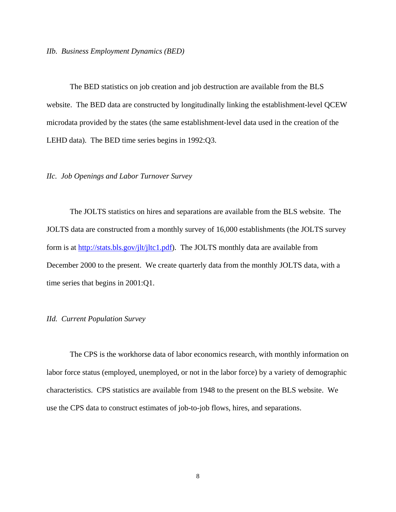#### *IIb. Business Employment Dynamics (BED)*

 The BED statistics on job creation and job destruction are available from the BLS website. The BED data are constructed by longitudinally linking the establishment-level QCEW microdata provided by the states (the same establishment-level data used in the creation of the LEHD data). The BED time series begins in 1992:Q3.

## *IIc. Job Openings and Labor Turnover Survey*

 The JOLTS statistics on hires and separations are available from the BLS website. The JOLTS data are constructed from a monthly survey of 16,000 establishments (the JOLTS survey form is at http://stats.bls.gov/jlt/jltc1.pdf). The JOLTS monthly data are available from December 2000 to the present. We create quarterly data from the monthly JOLTS data, with a time series that begins in 2001:Q1.

## *IId. Current Population Survey*

 The CPS is the workhorse data of labor economics research, with monthly information on labor force status (employed, unemployed, or not in the labor force) by a variety of demographic characteristics. CPS statistics are available from 1948 to the present on the BLS website. We use the CPS data to construct estimates of job-to-job flows, hires, and separations.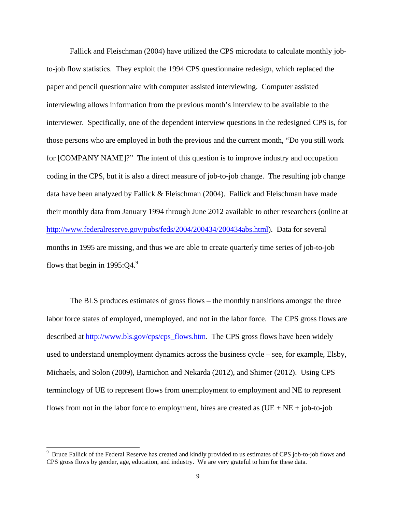Fallick and Fleischman (2004) have utilized the CPS microdata to calculate monthly jobto-job flow statistics. They exploit the 1994 CPS questionnaire redesign, which replaced the paper and pencil questionnaire with computer assisted interviewing. Computer assisted interviewing allows information from the previous month's interview to be available to the interviewer. Specifically, one of the dependent interview questions in the redesigned CPS is, for those persons who are employed in both the previous and the current month, "Do you still work for [COMPANY NAME]?" The intent of this question is to improve industry and occupation coding in the CPS, but it is also a direct measure of job-to-job change. The resulting job change data have been analyzed by Fallick & Fleischman (2004). Fallick and Fleischman have made their monthly data from January 1994 through June 2012 available to other researchers (online at http://www.federalreserve.gov/pubs/feds/2004/200434/200434abs.html). Data for several months in 1995 are missing, and thus we are able to create quarterly time series of job-to-job flows that begin in  $1995:O4<sup>9</sup>$ 

 The BLS produces estimates of gross flows – the monthly transitions amongst the three labor force states of employed, unemployed, and not in the labor force. The CPS gross flows are described at http://www.bls.gov/cps/cps\_flows.htm. The CPS gross flows have been widely used to understand unemployment dynamics across the business cycle – see, for example, Elsby, Michaels, and Solon (2009), Barnichon and Nekarda (2012), and Shimer (2012). Using CPS terminology of UE to represent flows from unemployment to employment and NE to represent flows from not in the labor force to employment, hires are created as  $(UE + NE + job-to-job$ 

<sup>9</sup> Bruce Fallick of the Federal Reserve has created and kindly provided to us estimates of CPS job-to-job flows and CPS gross flows by gender, age, education, and industry. We are very grateful to him for these data.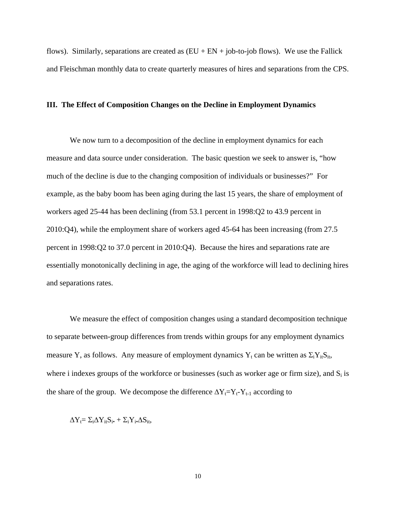flows). Similarly, separations are created as  $(EU + EN + job-to-job$  flows). We use the Fallick and Fleischman monthly data to create quarterly measures of hires and separations from the CPS.

#### **III. The Effect of Composition Changes on the Decline in Employment Dynamics**

 We now turn to a decomposition of the decline in employment dynamics for each measure and data source under consideration. The basic question we seek to answer is, "how much of the decline is due to the changing composition of individuals or businesses?" For example, as the baby boom has been aging during the last 15 years, the share of employment of workers aged 25-44 has been declining (from 53.1 percent in 1998:Q2 to 43.9 percent in 2010:Q4), while the employment share of workers aged 45-64 has been increasing (from 27.5 percent in 1998:Q2 to 37.0 percent in 2010:Q4). Because the hires and separations rate are essentially monotonically declining in age, the aging of the workforce will lead to declining hires and separations rates.

 We measure the effect of composition changes using a standard decomposition technique to separate between-group differences from trends within groups for any employment dynamics measure Y, as follows. Any measure of employment dynamics Y<sub>t</sub> can be written as  $\Sigma_i Y_{ii} S_{it}$ , where i indexes groups of the workforce or businesses (such as worker age or firm size), and  $S_i$  is the share of the group. We decompose the difference  $\Delta Y_t = Y_t - Y_{t-1}$  according to

$$
\Delta Y_t = \Sigma_i \Delta Y_{it} S_{i\bullet} + \Sigma_i Y_{i\bullet} \Delta S_{it},
$$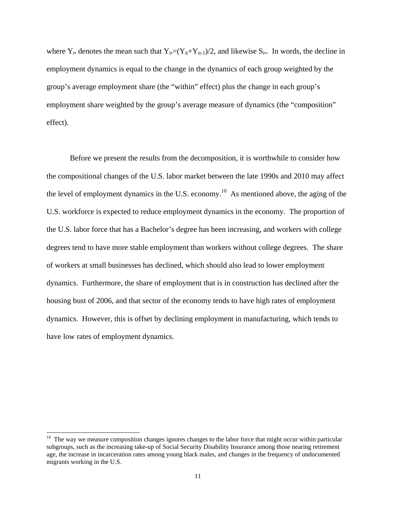where  $Y_i$ • denotes the mean such that  $Y_i=(Y_{it}+Y_{it-1})/2$ , and likewise  $S_i$ •. In words, the decline in employment dynamics is equal to the change in the dynamics of each group weighted by the group's average employment share (the "within" effect) plus the change in each group's employment share weighted by the group's average measure of dynamics (the "composition" effect).

 Before we present the results from the decomposition, it is worthwhile to consider how the compositional changes of the U.S. labor market between the late 1990s and 2010 may affect the level of employment dynamics in the U.S. economy.<sup>10</sup> As mentioned above, the aging of the U.S. workforce is expected to reduce employment dynamics in the economy. The proportion of the U.S. labor force that has a Bachelor's degree has been increasing, and workers with college degrees tend to have more stable employment than workers without college degrees. The share of workers at small businesses has declined, which should also lead to lower employment dynamics. Furthermore, the share of employment that is in construction has declined after the housing bust of 2006, and that sector of the economy tends to have high rates of employment dynamics. However, this is offset by declining employment in manufacturing, which tends to have low rates of employment dynamics.

 $10$  The way we measure composition changes ignores changes to the labor force that might occur within particular subgroups, such as the increasing take-up of Social Security Disability Insurance among those nearing retirement age, the increase in incarceration rates among young black males, and changes in the frequency of undocumented migrants working in the U.S.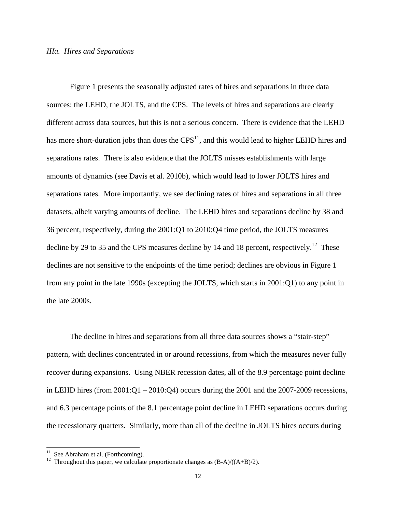## *IIIa. Hires and Separations*

 Figure 1 presents the seasonally adjusted rates of hires and separations in three data sources: the LEHD, the JOLTS, and the CPS. The levels of hires and separations are clearly different across data sources, but this is not a serious concern. There is evidence that the LEHD has more short-duration jobs than does the  $CPS<sup>11</sup>$ , and this would lead to higher LEHD hires and separations rates. There is also evidence that the JOLTS misses establishments with large amounts of dynamics (see Davis et al. 2010b), which would lead to lower JOLTS hires and separations rates. More importantly, we see declining rates of hires and separations in all three datasets, albeit varying amounts of decline. The LEHD hires and separations decline by 38 and 36 percent, respectively, during the 2001:Q1 to 2010:Q4 time period, the JOLTS measures decline by 29 to 35 and the CPS measures decline by 14 and 18 percent, respectively.<sup>12</sup> These declines are not sensitive to the endpoints of the time period; declines are obvious in Figure 1 from any point in the late 1990s (excepting the JOLTS, which starts in 2001:Q1) to any point in the late 2000s.

 The decline in hires and separations from all three data sources shows a "stair-step" pattern, with declines concentrated in or around recessions, from which the measures never fully recover during expansions. Using NBER recession dates, all of the 8.9 percentage point decline in LEHD hires (from  $2001:Q1 - 2010:Q4$ ) occurs during the  $2001$  and the  $2007-2009$  recessions, and 6.3 percentage points of the 8.1 percentage point decline in LEHD separations occurs during the recessionary quarters. Similarly, more than all of the decline in JOLTS hires occurs during

 $11$  See Abraham et al. (Forthcoming).

<sup>&</sup>lt;sup>12</sup> Throughout this paper, we calculate proportionate changes as  $(B-A)/(A+B)/2$ .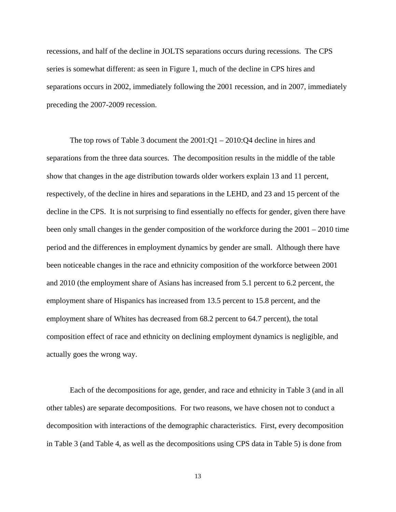recessions, and half of the decline in JOLTS separations occurs during recessions. The CPS series is somewhat different: as seen in Figure 1, much of the decline in CPS hires and separations occurs in 2002, immediately following the 2001 recession, and in 2007, immediately preceding the 2007-2009 recession.

 The top rows of Table 3 document the 2001:Q1 – 2010:Q4 decline in hires and separations from the three data sources. The decomposition results in the middle of the table show that changes in the age distribution towards older workers explain 13 and 11 percent, respectively, of the decline in hires and separations in the LEHD, and 23 and 15 percent of the decline in the CPS. It is not surprising to find essentially no effects for gender, given there have been only small changes in the gender composition of the workforce during the 2001 – 2010 time period and the differences in employment dynamics by gender are small. Although there have been noticeable changes in the race and ethnicity composition of the workforce between 2001 and 2010 (the employment share of Asians has increased from 5.1 percent to 6.2 percent, the employment share of Hispanics has increased from 13.5 percent to 15.8 percent, and the employment share of Whites has decreased from 68.2 percent to 64.7 percent), the total composition effect of race and ethnicity on declining employment dynamics is negligible, and actually goes the wrong way.

 Each of the decompositions for age, gender, and race and ethnicity in Table 3 (and in all other tables) are separate decompositions. For two reasons, we have chosen not to conduct a decomposition with interactions of the demographic characteristics. First, every decomposition in Table 3 (and Table 4, as well as the decompositions using CPS data in Table 5) is done from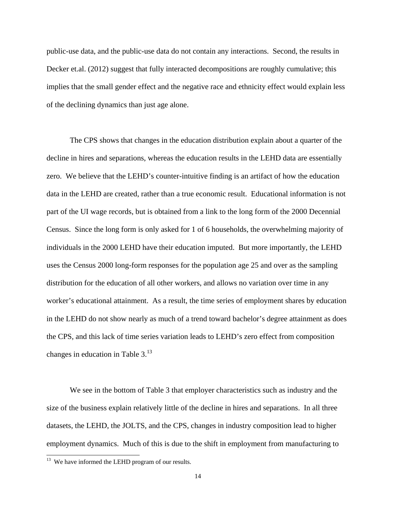public-use data, and the public-use data do not contain any interactions. Second, the results in Decker et.al. (2012) suggest that fully interacted decompositions are roughly cumulative; this implies that the small gender effect and the negative race and ethnicity effect would explain less of the declining dynamics than just age alone.

 The CPS shows that changes in the education distribution explain about a quarter of the decline in hires and separations, whereas the education results in the LEHD data are essentially zero. We believe that the LEHD's counter-intuitive finding is an artifact of how the education data in the LEHD are created, rather than a true economic result. Educational information is not part of the UI wage records, but is obtained from a link to the long form of the 2000 Decennial Census. Since the long form is only asked for 1 of 6 households, the overwhelming majority of individuals in the 2000 LEHD have their education imputed. But more importantly, the LEHD uses the Census 2000 long-form responses for the population age 25 and over as the sampling distribution for the education of all other workers, and allows no variation over time in any worker's educational attainment. As a result, the time series of employment shares by education in the LEHD do not show nearly as much of a trend toward bachelor's degree attainment as does the CPS, and this lack of time series variation leads to LEHD's zero effect from composition changes in education in Table  $3<sup>13</sup>$ 

 We see in the bottom of Table 3 that employer characteristics such as industry and the size of the business explain relatively little of the decline in hires and separations. In all three datasets, the LEHD, the JOLTS, and the CPS, changes in industry composition lead to higher employment dynamics. Much of this is due to the shift in employment from manufacturing to

 $13$  We have informed the LEHD program of our results.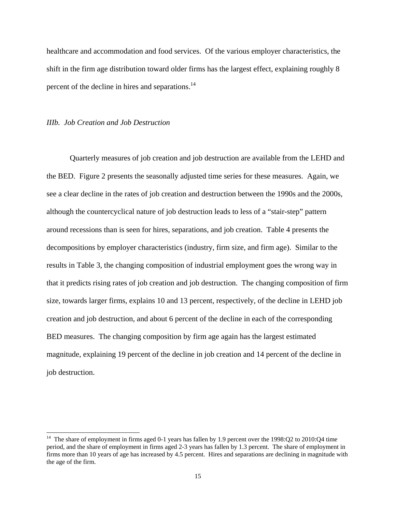healthcare and accommodation and food services. Of the various employer characteristics, the shift in the firm age distribution toward older firms has the largest effect, explaining roughly 8 percent of the decline in hires and separations. $^{14}$ 

# *IIIb. Job Creation and Job Destruction*

 $\overline{a}$ 

 Quarterly measures of job creation and job destruction are available from the LEHD and the BED. Figure 2 presents the seasonally adjusted time series for these measures. Again, we see a clear decline in the rates of job creation and destruction between the 1990s and the 2000s, although the countercyclical nature of job destruction leads to less of a "stair-step" pattern around recessions than is seen for hires, separations, and job creation. Table 4 presents the decompositions by employer characteristics (industry, firm size, and firm age). Similar to the results in Table 3, the changing composition of industrial employment goes the wrong way in that it predicts rising rates of job creation and job destruction. The changing composition of firm size, towards larger firms, explains 10 and 13 percent, respectively, of the decline in LEHD job creation and job destruction, and about 6 percent of the decline in each of the corresponding BED measures. The changing composition by firm age again has the largest estimated magnitude, explaining 19 percent of the decline in job creation and 14 percent of the decline in job destruction.

<sup>&</sup>lt;sup>14</sup> The share of employment in firms aged 0-1 years has fallen by 1.9 percent over the 1998:Q2 to 2010:Q4 time period, and the share of employment in firms aged 2-3 years has fallen by 1.3 percent. The share of employment in firms more than 10 years of age has increased by 4.5 percent. Hires and separations are declining in magnitude with the age of the firm.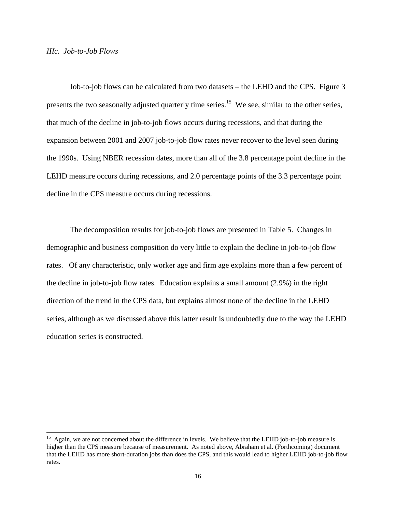#### *IIIc. Job-to-Job Flows*

 $\overline{a}$ 

 Job-to-job flows can be calculated from two datasets – the LEHD and the CPS. Figure 3 presents the two seasonally adjusted quarterly time series.<sup>15</sup> We see, similar to the other series, that much of the decline in job-to-job flows occurs during recessions, and that during the expansion between 2001 and 2007 job-to-job flow rates never recover to the level seen during the 1990s. Using NBER recession dates, more than all of the 3.8 percentage point decline in the LEHD measure occurs during recessions, and 2.0 percentage points of the 3.3 percentage point decline in the CPS measure occurs during recessions.

 The decomposition results for job-to-job flows are presented in Table 5. Changes in demographic and business composition do very little to explain the decline in job-to-job flow rates. Of any characteristic, only worker age and firm age explains more than a few percent of the decline in job-to-job flow rates. Education explains a small amount (2.9%) in the right direction of the trend in the CPS data, but explains almost none of the decline in the LEHD series, although as we discussed above this latter result is undoubtedly due to the way the LEHD education series is constructed.

<sup>&</sup>lt;sup>15</sup> Again, we are not concerned about the difference in levels. We believe that the LEHD job-to-job measure is higher than the CPS measure because of measurement. As noted above, Abraham et al. (Forthcoming) document that the LEHD has more short-duration jobs than does the CPS, and this would lead to higher LEHD job-to-job flow rates.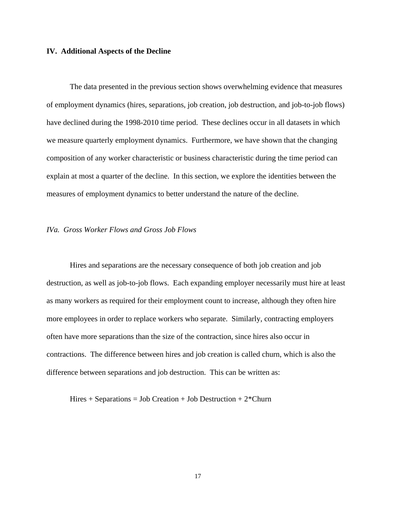#### **IV. Additional Aspects of the Decline**

 The data presented in the previous section shows overwhelming evidence that measures of employment dynamics (hires, separations, job creation, job destruction, and job-to-job flows) have declined during the 1998-2010 time period. These declines occur in all datasets in which we measure quarterly employment dynamics. Furthermore, we have shown that the changing composition of any worker characteristic or business characteristic during the time period can explain at most a quarter of the decline. In this section, we explore the identities between the measures of employment dynamics to better understand the nature of the decline.

#### *IVa. Gross Worker Flows and Gross Job Flows*

 Hires and separations are the necessary consequence of both job creation and job destruction, as well as job-to-job flows. Each expanding employer necessarily must hire at least as many workers as required for their employment count to increase, although they often hire more employees in order to replace workers who separate. Similarly, contracting employers often have more separations than the size of the contraction, since hires also occur in contractions. The difference between hires and job creation is called churn, which is also the difference between separations and job destruction. This can be written as:

Hires  $+$  Separations  $=$  Job Creation  $+$  Job Destruction  $+$  2 $*$ Churn

17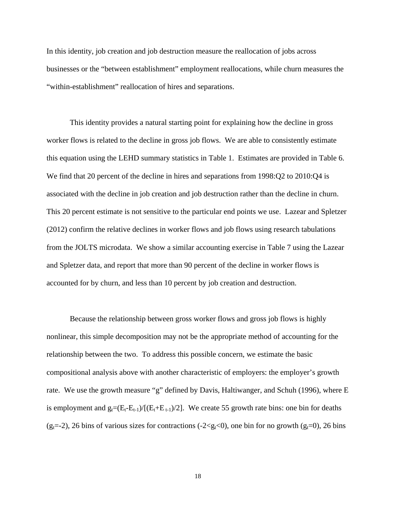In this identity, job creation and job destruction measure the reallocation of jobs across businesses or the "between establishment" employment reallocations, while churn measures the "within-establishment" reallocation of hires and separations.

 This identity provides a natural starting point for explaining how the decline in gross worker flows is related to the decline in gross job flows. We are able to consistently estimate this equation using the LEHD summary statistics in Table 1. Estimates are provided in Table 6. We find that 20 percent of the decline in hires and separations from 1998:Q2 to 2010:Q4 is associated with the decline in job creation and job destruction rather than the decline in churn. This 20 percent estimate is not sensitive to the particular end points we use. Lazear and Spletzer (2012) confirm the relative declines in worker flows and job flows using research tabulations from the JOLTS microdata. We show a similar accounting exercise in Table 7 using the Lazear and Spletzer data, and report that more than 90 percent of the decline in worker flows is accounted for by churn, and less than 10 percent by job creation and destruction.

 Because the relationship between gross worker flows and gross job flows is highly nonlinear, this simple decomposition may not be the appropriate method of accounting for the relationship between the two. To address this possible concern, we estimate the basic compositional analysis above with another characteristic of employers: the employer's growth rate. We use the growth measure "g" defined by Davis, Haltiwanger, and Schuh (1996), where E is employment and  $g_t=(E_t-E_{t-1})/[(E_t+E_{t-1})/2]$ . We create 55 growth rate bins: one bin for deaths (g<sub>t</sub>=-2), 26 bins of various sizes for contractions (-2<g<sub>t</sub><0), one bin for no growth (g<sub>t</sub>=0), 26 bins

18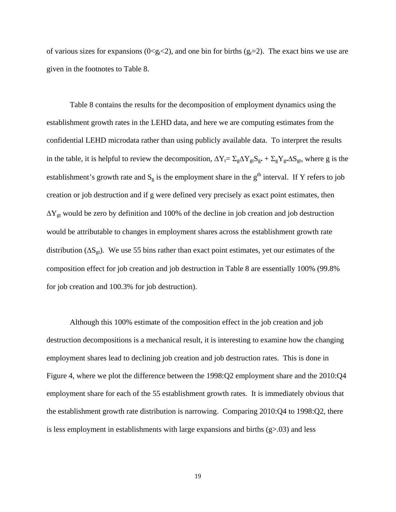of various sizes for expansions ( $0 \le g_t \le 2$ ), and one bin for births ( $g_t = 2$ ). The exact bins we use are given in the footnotes to Table 8.

 Table 8 contains the results for the decomposition of employment dynamics using the establishment growth rates in the LEHD data, and here we are computing estimates from the confidential LEHD microdata rather than using publicly available data. To interpret the results in the table, it is helpful to review the decomposition,  $\Delta Y_t = \sum_g \Delta Y_{gt} S_g + \sum_g Y_g \Delta S_{gt}$ , where g is the establishment's growth rate and  $S_g$  is the employment share in the  $g<sup>th</sup>$  interval. If Y refers to job creation or job destruction and if g were defined very precisely as exact point estimates, then  $\Delta Y_{gt}$  would be zero by definition and 100% of the decline in job creation and job destruction would be attributable to changes in employment shares across the establishment growth rate distribution ( $\Delta S_{gt}$ ). We use 55 bins rather than exact point estimates, yet our estimates of the composition effect for job creation and job destruction in Table 8 are essentially 100% (99.8% for job creation and 100.3% for job destruction).

 Although this 100% estimate of the composition effect in the job creation and job destruction decompositions is a mechanical result, it is interesting to examine how the changing employment shares lead to declining job creation and job destruction rates. This is done in Figure 4, where we plot the difference between the 1998:Q2 employment share and the 2010:Q4 employment share for each of the 55 establishment growth rates. It is immediately obvious that the establishment growth rate distribution is narrowing. Comparing 2010:Q4 to 1998:Q2, there is less employment in establishments with large expansions and births  $(g>0.03)$  and less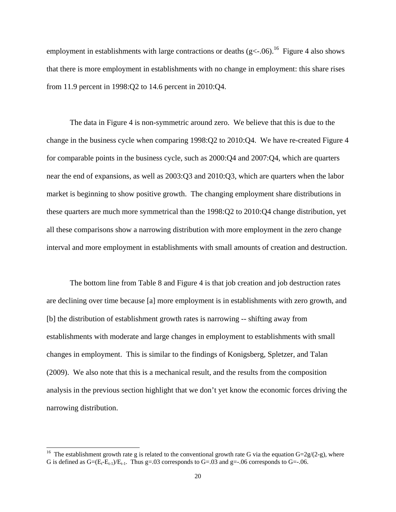employment in establishments with large contractions or deaths  $(g < -06)$ .<sup>16</sup> Figure 4 also shows that there is more employment in establishments with no change in employment: this share rises from 11.9 percent in 1998:Q2 to 14.6 percent in 2010:Q4.

 The data in Figure 4 is non-symmetric around zero. We believe that this is due to the change in the business cycle when comparing 1998:Q2 to 2010:Q4. We have re-created Figure 4 for comparable points in the business cycle, such as 2000:Q4 and 2007:Q4, which are quarters near the end of expansions, as well as 2003:Q3 and 2010:Q3, which are quarters when the labor market is beginning to show positive growth. The changing employment share distributions in these quarters are much more symmetrical than the 1998:Q2 to 2010:Q4 change distribution, yet all these comparisons show a narrowing distribution with more employment in the zero change interval and more employment in establishments with small amounts of creation and destruction.

 The bottom line from Table 8 and Figure 4 is that job creation and job destruction rates are declining over time because [a] more employment is in establishments with zero growth, and [b] the distribution of establishment growth rates is narrowing -- shifting away from establishments with moderate and large changes in employment to establishments with small changes in employment. This is similar to the findings of Konigsberg, Spletzer, and Talan (2009). We also note that this is a mechanical result, and the results from the composition analysis in the previous section highlight that we don't yet know the economic forces driving the narrowing distribution.

<sup>&</sup>lt;sup>16</sup> The establishment growth rate g is related to the conventional growth rate G via the equation G=2g/(2-g), where G is defined as  $G=(E_t-E_{t-1})/E_{t-1}$ . Thus g=.03 corresponds to  $G=0.03$  and g=-.06 corresponds to  $G=-.06$ .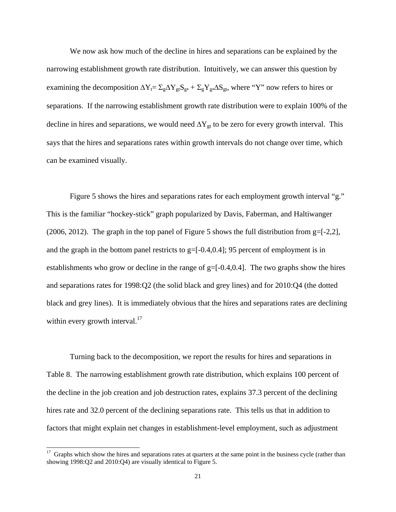We now ask how much of the decline in hires and separations can be explained by the narrowing establishment growth rate distribution. Intuitively, we can answer this question by examining the decomposition  $\Delta Y_t = \Sigma_g \Delta Y_{gt} S_{gt} + \Sigma_g Y_{gt} \Delta S_{gt}$ , where "Y" now refers to hires or separations. If the narrowing establishment growth rate distribution were to explain 100% of the decline in hires and separations, we would need  $\Delta Y_{gt}$  to be zero for every growth interval. This says that the hires and separations rates within growth intervals do not change over time, which can be examined visually.

 Figure 5 shows the hires and separations rates for each employment growth interval "g." This is the familiar "hockey-stick" graph popularized by Davis, Faberman, and Haltiwanger (2006, 2012). The graph in the top panel of Figure 5 shows the full distribution from  $g=[-2,2]$ , and the graph in the bottom panel restricts to  $g=[-0.4,0.4]$ ; 95 percent of employment is in establishments who grow or decline in the range of  $g=[-0.4,0.4]$ . The two graphs show the hires and separations rates for 1998:Q2 (the solid black and grey lines) and for 2010:Q4 (the dotted black and grey lines). It is immediately obvious that the hires and separations rates are declining within every growth interval. $17$ 

 Turning back to the decomposition, we report the results for hires and separations in Table 8. The narrowing establishment growth rate distribution, which explains 100 percent of the decline in the job creation and job destruction rates, explains 37.3 percent of the declining hires rate and 32.0 percent of the declining separations rate. This tells us that in addition to factors that might explain net changes in establishment-level employment, such as adjustment

 $17$  Graphs which show the hires and separations rates at quarters at the same point in the business cycle (rather than showing 1998:Q2 and 2010:Q4) are visually identical to Figure 5.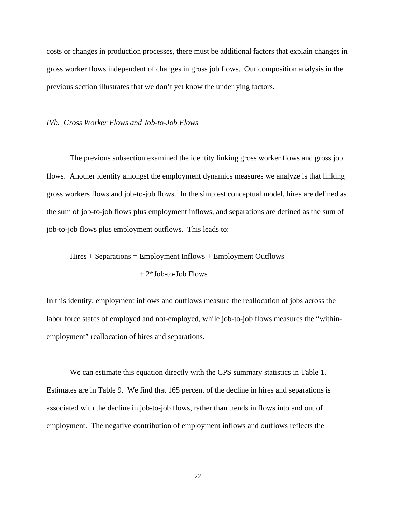costs or changes in production processes, there must be additional factors that explain changes in gross worker flows independent of changes in gross job flows. Our composition analysis in the previous section illustrates that we don't yet know the underlying factors.

#### *IVb. Gross Worker Flows and Job-to-Job Flows*

 The previous subsection examined the identity linking gross worker flows and gross job flows. Another identity amongst the employment dynamics measures we analyze is that linking gross workers flows and job-to-job flows. In the simplest conceptual model, hires are defined as the sum of job-to-job flows plus employment inflows, and separations are defined as the sum of job-to-job flows plus employment outflows. This leads to:

 $Hires + Separations = Employment Inflows + Employment Outflows$ 

+ 2\*Job-to-Job Flows

In this identity, employment inflows and outflows measure the reallocation of jobs across the labor force states of employed and not-employed, while job-to-job flows measures the "withinemployment" reallocation of hires and separations.

We can estimate this equation directly with the CPS summary statistics in Table 1. Estimates are in Table 9. We find that 165 percent of the decline in hires and separations is associated with the decline in job-to-job flows, rather than trends in flows into and out of employment. The negative contribution of employment inflows and outflows reflects the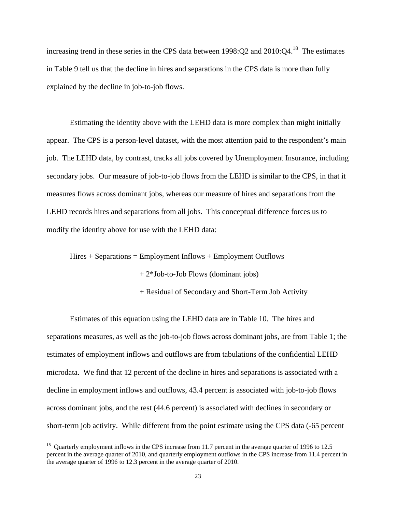increasing trend in these series in the CPS data between  $1998:Q2$  and  $2010:Q4$ .<sup>18</sup> The estimates in Table 9 tell us that the decline in hires and separations in the CPS data is more than fully explained by the decline in job-to-job flows.

 Estimating the identity above with the LEHD data is more complex than might initially appear. The CPS is a person-level dataset, with the most attention paid to the respondent's main job. The LEHD data, by contrast, tracks all jobs covered by Unemployment Insurance, including secondary jobs. Our measure of job-to-job flows from the LEHD is similar to the CPS, in that it measures flows across dominant jobs, whereas our measure of hires and separations from the LEHD records hires and separations from all jobs. This conceptual difference forces us to modify the identity above for use with the LEHD data:

 $Hires + Separations = Employment Inflows + Employment Outflows$ 

+ 2\*Job-to-Job Flows (dominant jobs)

+ Residual of Secondary and Short-Term Job Activity

 Estimates of this equation using the LEHD data are in Table 10. The hires and separations measures, as well as the job-to-job flows across dominant jobs, are from Table 1; the estimates of employment inflows and outflows are from tabulations of the confidential LEHD microdata. We find that 12 percent of the decline in hires and separations is associated with a decline in employment inflows and outflows, 43.4 percent is associated with job-to-job flows across dominant jobs, and the rest (44.6 percent) is associated with declines in secondary or short-term job activity. While different from the point estimate using the CPS data (-65 percent

l

<sup>&</sup>lt;sup>18</sup> Quarterly employment inflows in the CPS increase from 11.7 percent in the average quarter of 1996 to 12.5 percent in the average quarter of 2010, and quarterly employment outflows in the CPS increase from 11.4 percent in the average quarter of 1996 to 12.3 percent in the average quarter of 2010.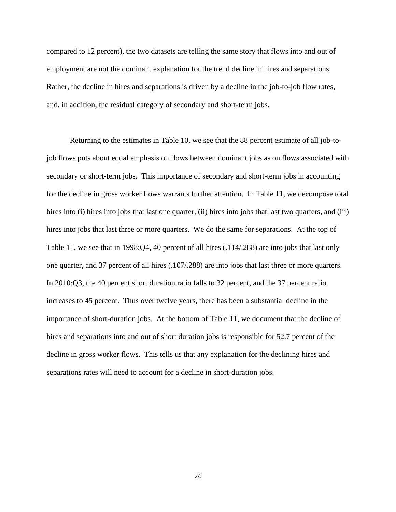compared to 12 percent), the two datasets are telling the same story that flows into and out of employment are not the dominant explanation for the trend decline in hires and separations. Rather, the decline in hires and separations is driven by a decline in the job-to-job flow rates, and, in addition, the residual category of secondary and short-term jobs.

 Returning to the estimates in Table 10, we see that the 88 percent estimate of all job-tojob flows puts about equal emphasis on flows between dominant jobs as on flows associated with secondary or short-term jobs. This importance of secondary and short-term jobs in accounting for the decline in gross worker flows warrants further attention. In Table 11, we decompose total hires into (i) hires into jobs that last one quarter, (ii) hires into jobs that last two quarters, and (iii) hires into jobs that last three or more quarters. We do the same for separations. At the top of Table 11, we see that in 1998:Q4, 40 percent of all hires (.114/.288) are into jobs that last only one quarter, and 37 percent of all hires (.107/.288) are into jobs that last three or more quarters. In 2010:Q3, the 40 percent short duration ratio falls to 32 percent, and the 37 percent ratio increases to 45 percent. Thus over twelve years, there has been a substantial decline in the importance of short-duration jobs. At the bottom of Table 11, we document that the decline of hires and separations into and out of short duration jobs is responsible for 52.7 percent of the decline in gross worker flows. This tells us that any explanation for the declining hires and separations rates will need to account for a decline in short-duration jobs.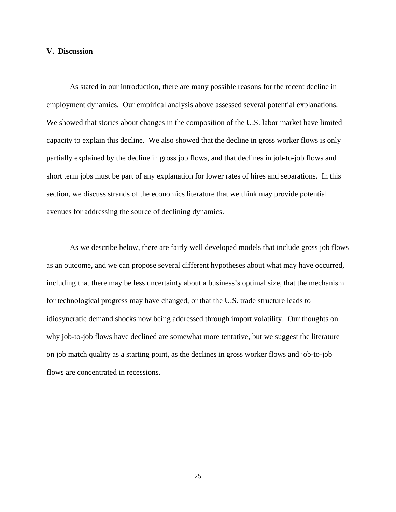#### **V. Discussion**

 As stated in our introduction, there are many possible reasons for the recent decline in employment dynamics. Our empirical analysis above assessed several potential explanations. We showed that stories about changes in the composition of the U.S. labor market have limited capacity to explain this decline. We also showed that the decline in gross worker flows is only partially explained by the decline in gross job flows, and that declines in job-to-job flows and short term jobs must be part of any explanation for lower rates of hires and separations. In this section, we discuss strands of the economics literature that we think may provide potential avenues for addressing the source of declining dynamics.

 As we describe below, there are fairly well developed models that include gross job flows as an outcome, and we can propose several different hypotheses about what may have occurred, including that there may be less uncertainty about a business's optimal size, that the mechanism for technological progress may have changed, or that the U.S. trade structure leads to idiosyncratic demand shocks now being addressed through import volatility. Our thoughts on why job-to-job flows have declined are somewhat more tentative, but we suggest the literature on job match quality as a starting point, as the declines in gross worker flows and job-to-job flows are concentrated in recessions.

25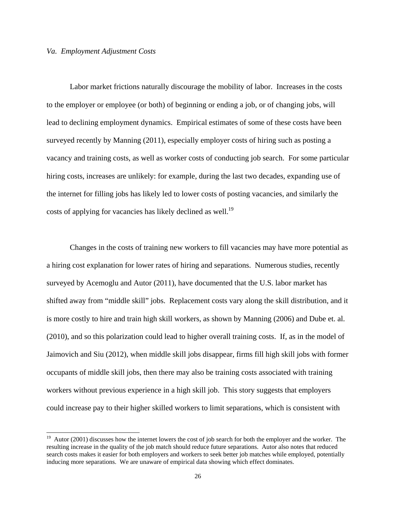## *Va. Employment Adjustment Costs*

 $\overline{a}$ 

Labor market frictions naturally discourage the mobility of labor. Increases in the costs to the employer or employee (or both) of beginning or ending a job, or of changing jobs, will lead to declining employment dynamics. Empirical estimates of some of these costs have been surveyed recently by Manning (2011), especially employer costs of hiring such as posting a vacancy and training costs, as well as worker costs of conducting job search. For some particular hiring costs, increases are unlikely: for example, during the last two decades, expanding use of the internet for filling jobs has likely led to lower costs of posting vacancies, and similarly the costs of applying for vacancies has likely declined as well.<sup>19</sup>

 Changes in the costs of training new workers to fill vacancies may have more potential as a hiring cost explanation for lower rates of hiring and separations. Numerous studies, recently surveyed by Acemoglu and Autor (2011), have documented that the U.S. labor market has shifted away from "middle skill" jobs. Replacement costs vary along the skill distribution, and it is more costly to hire and train high skill workers, as shown by Manning (2006) and Dube et. al. (2010), and so this polarization could lead to higher overall training costs. If, as in the model of Jaimovich and Siu (2012), when middle skill jobs disappear, firms fill high skill jobs with former occupants of middle skill jobs, then there may also be training costs associated with training workers without previous experience in a high skill job. This story suggests that employers could increase pay to their higher skilled workers to limit separations, which is consistent with

<sup>&</sup>lt;sup>19</sup> Autor (2001) discusses how the internet lowers the cost of job search for both the employer and the worker. The resulting increase in the quality of the job match should reduce future separations. Autor also notes that reduced search costs makes it easier for both employers and workers to seek better job matches while employed, potentially inducing more separations. We are unaware of empirical data showing which effect dominates.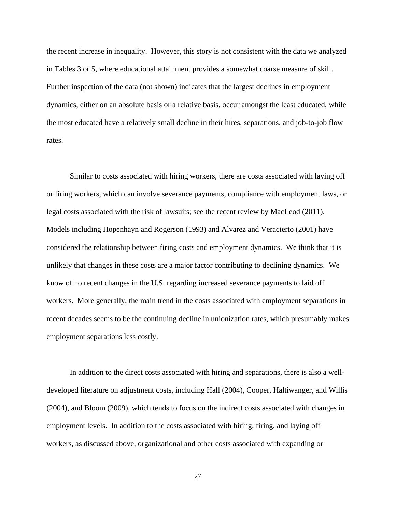the recent increase in inequality. However, this story is not consistent with the data we analyzed in Tables 3 or 5, where educational attainment provides a somewhat coarse measure of skill. Further inspection of the data (not shown) indicates that the largest declines in employment dynamics, either on an absolute basis or a relative basis, occur amongst the least educated, while the most educated have a relatively small decline in their hires, separations, and job-to-job flow rates.

 Similar to costs associated with hiring workers, there are costs associated with laying off or firing workers, which can involve severance payments, compliance with employment laws, or legal costs associated with the risk of lawsuits; see the recent review by MacLeod (2011). Models including Hopenhayn and Rogerson (1993) and Alvarez and Veracierto (2001) have considered the relationship between firing costs and employment dynamics. We think that it is unlikely that changes in these costs are a major factor contributing to declining dynamics. We know of no recent changes in the U.S. regarding increased severance payments to laid off workers. More generally, the main trend in the costs associated with employment separations in recent decades seems to be the continuing decline in unionization rates, which presumably makes employment separations less costly.

 In addition to the direct costs associated with hiring and separations, there is also a welldeveloped literature on adjustment costs, including Hall (2004), Cooper, Haltiwanger, and Willis (2004), and Bloom (2009), which tends to focus on the indirect costs associated with changes in employment levels. In addition to the costs associated with hiring, firing, and laying off workers, as discussed above, organizational and other costs associated with expanding or

27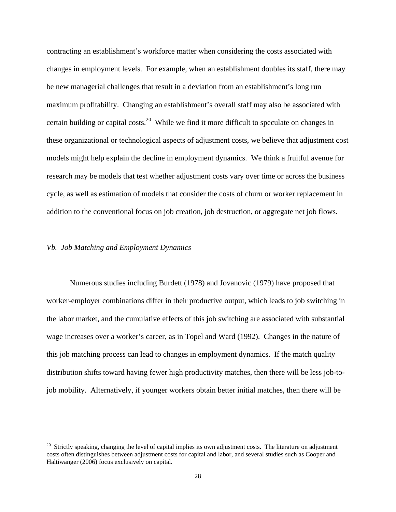contracting an establishment's workforce matter when considering the costs associated with changes in employment levels. For example, when an establishment doubles its staff, there may be new managerial challenges that result in a deviation from an establishment's long run maximum profitability. Changing an establishment's overall staff may also be associated with certain building or capital costs.<sup>20</sup> While we find it more difficult to speculate on changes in these organizational or technological aspects of adjustment costs, we believe that adjustment cost models might help explain the decline in employment dynamics. We think a fruitful avenue for research may be models that test whether adjustment costs vary over time or across the business cycle, as well as estimation of models that consider the costs of churn or worker replacement in addition to the conventional focus on job creation, job destruction, or aggregate net job flows.

## *Vb. Job Matching and Employment Dynamics*

l

 Numerous studies including Burdett (1978) and Jovanovic (1979) have proposed that worker-employer combinations differ in their productive output, which leads to job switching in the labor market, and the cumulative effects of this job switching are associated with substantial wage increases over a worker's career, as in Topel and Ward (1992). Changes in the nature of this job matching process can lead to changes in employment dynamics. If the match quality distribution shifts toward having fewer high productivity matches, then there will be less job-tojob mobility. Alternatively, if younger workers obtain better initial matches, then there will be

 $20$  Strictly speaking, changing the level of capital implies its own adjustment costs. The literature on adjustment costs often distinguishes between adjustment costs for capital and labor, and several studies such as Cooper and Haltiwanger (2006) focus exclusively on capital.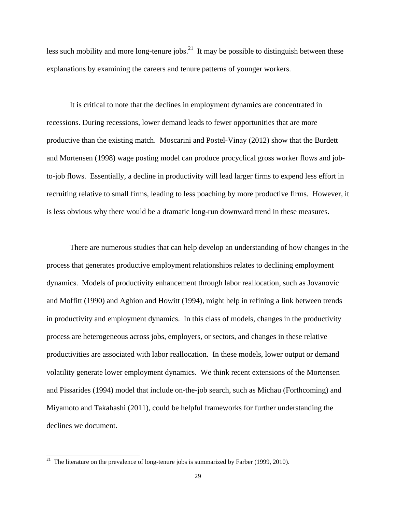less such mobility and more long-tenure jobs.<sup>21</sup> It may be possible to distinguish between these explanations by examining the careers and tenure patterns of younger workers.

 It is critical to note that the declines in employment dynamics are concentrated in recessions. During recessions, lower demand leads to fewer opportunities that are more productive than the existing match. Moscarini and Postel-Vinay (2012) show that the Burdett and Mortensen (1998) wage posting model can produce procyclical gross worker flows and jobto-job flows. Essentially, a decline in productivity will lead larger firms to expend less effort in recruiting relative to small firms, leading to less poaching by more productive firms. However, it is less obvious why there would be a dramatic long-run downward trend in these measures.

 There are numerous studies that can help develop an understanding of how changes in the process that generates productive employment relationships relates to declining employment dynamics. Models of productivity enhancement through labor reallocation, such as Jovanovic and Moffitt (1990) and Aghion and Howitt (1994), might help in refining a link between trends in productivity and employment dynamics. In this class of models, changes in the productivity process are heterogeneous across jobs, employers, or sectors, and changes in these relative productivities are associated with labor reallocation. In these models, lower output or demand volatility generate lower employment dynamics. We think recent extensions of the Mortensen and Pissarides (1994) model that include on-the-job search, such as Michau (Forthcoming) and Miyamoto and Takahashi (2011), could be helpful frameworks for further understanding the declines we document.

<sup>&</sup>lt;sup>21</sup> The literature on the prevalence of long-tenure jobs is summarized by Farber (1999, 2010).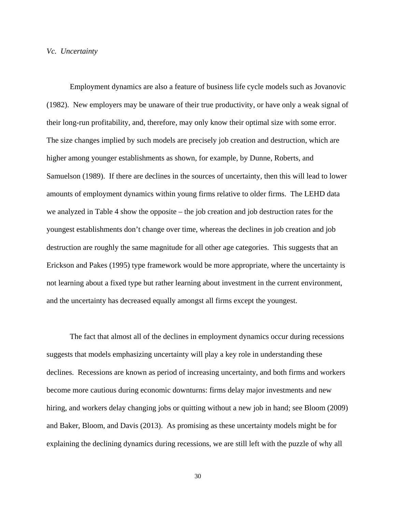#### *Vc. Uncertainty*

 Employment dynamics are also a feature of business life cycle models such as Jovanovic (1982). New employers may be unaware of their true productivity, or have only a weak signal of their long-run profitability, and, therefore, may only know their optimal size with some error. The size changes implied by such models are precisely job creation and destruction, which are higher among younger establishments as shown, for example, by Dunne, Roberts, and Samuelson (1989). If there are declines in the sources of uncertainty, then this will lead to lower amounts of employment dynamics within young firms relative to older firms. The LEHD data we analyzed in Table 4 show the opposite – the job creation and job destruction rates for the youngest establishments don't change over time, whereas the declines in job creation and job destruction are roughly the same magnitude for all other age categories. This suggests that an Erickson and Pakes (1995) type framework would be more appropriate, where the uncertainty is not learning about a fixed type but rather learning about investment in the current environment, and the uncertainty has decreased equally amongst all firms except the youngest.

 The fact that almost all of the declines in employment dynamics occur during recessions suggests that models emphasizing uncertainty will play a key role in understanding these declines. Recessions are known as period of increasing uncertainty, and both firms and workers become more cautious during economic downturns: firms delay major investments and new hiring, and workers delay changing jobs or quitting without a new job in hand; see Bloom (2009) and Baker, Bloom, and Davis (2013). As promising as these uncertainty models might be for explaining the declining dynamics during recessions, we are still left with the puzzle of why all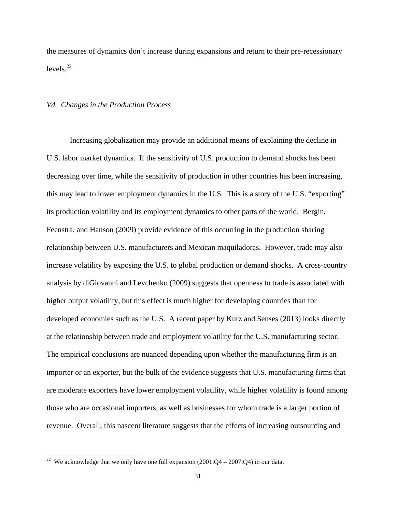the measures of dynamics don't increase during expansions and return to their pre-recessionary levels $^{22}$ 

#### *Vd. Changes in the Production Process*

 Increasing globalization may provide an additional means of explaining the decline in U.S. labor market dynamics. If the sensitivity of U.S. production to demand shocks has been decreasing over time, while the sensitivity of production in other countries has been increasing, this may lead to lower employment dynamics in the U.S. This is a story of the U.S. "exporting" its production volatility and its employment dynamics to other parts of the world. Bergin, Feenstra, and Hanson (2009) provide evidence of this occurring in the production sharing relationship between U.S. manufacturers and Mexican maquiladoras. However, trade may also increase volatility by exposing the U.S. to global production or demand shocks. A cross-country analysis by diGiovanni and Levchenko (2009) suggests that openness to trade is associated with higher output volatility, but this effect is much higher for developing countries than for developed economies such as the U.S. A recent paper by Kurz and Senses (2013) looks directly at the relationship between trade and employment volatility for the U.S. manufacturing sector. The empirical conclusions are nuanced depending upon whether the manufacturing firm is an importer or an exporter, but the bulk of the evidence suggests that U.S. manufacturing firms that are moderate exporters have lower employment volatility, while higher volatility is found among those who are occasional importers, as well as businesses for whom trade is a larger portion of revenue. Overall, this nascent literature suggests that the effects of increasing outsourcing and

<sup>&</sup>lt;sup>22</sup> We acknowledge that we only have one full expansion  $(2001:Q4 - 2007:Q4)$  in our data.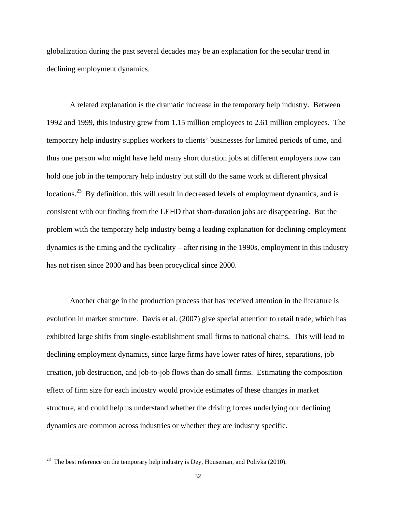globalization during the past several decades may be an explanation for the secular trend in declining employment dynamics.

 A related explanation is the dramatic increase in the temporary help industry. Between 1992 and 1999, this industry grew from 1.15 million employees to 2.61 million employees. The temporary help industry supplies workers to clients' businesses for limited periods of time, and thus one person who might have held many short duration jobs at different employers now can hold one job in the temporary help industry but still do the same work at different physical locations.<sup>23</sup> By definition, this will result in decreased levels of employment dynamics, and is consistent with our finding from the LEHD that short-duration jobs are disappearing. But the problem with the temporary help industry being a leading explanation for declining employment dynamics is the timing and the cyclicality – after rising in the 1990s, employment in this industry has not risen since 2000 and has been procyclical since 2000.

 Another change in the production process that has received attention in the literature is evolution in market structure. Davis et al. (2007) give special attention to retail trade, which has exhibited large shifts from single-establishment small firms to national chains. This will lead to declining employment dynamics, since large firms have lower rates of hires, separations, job creation, job destruction, and job-to-job flows than do small firms. Estimating the composition effect of firm size for each industry would provide estimates of these changes in market structure, and could help us understand whether the driving forces underlying our declining dynamics are common across industries or whether they are industry specific.

The best reference on the temporary help industry is Dey, Houseman, and Polivka (2010).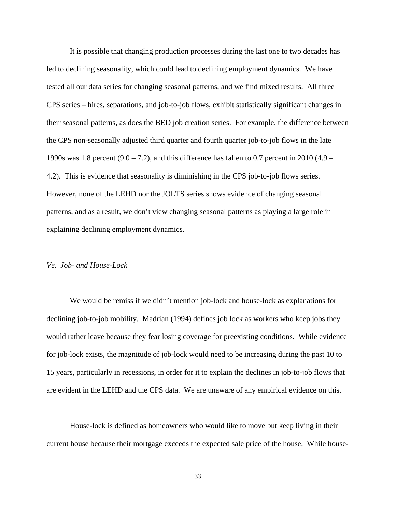It is possible that changing production processes during the last one to two decades has led to declining seasonality, which could lead to declining employment dynamics. We have tested all our data series for changing seasonal patterns, and we find mixed results. All three CPS series – hires, separations, and job-to-job flows, exhibit statistically significant changes in their seasonal patterns, as does the BED job creation series. For example, the difference between the CPS non-seasonally adjusted third quarter and fourth quarter job-to-job flows in the late 1990s was 1.8 percent  $(9.0 - 7.2)$ , and this difference has fallen to 0.7 percent in 2010 (4.9 – 4.2). This is evidence that seasonality is diminishing in the CPS job-to-job flows series. However, none of the LEHD nor the JOLTS series shows evidence of changing seasonal patterns, and as a result, we don't view changing seasonal patterns as playing a large role in explaining declining employment dynamics.

#### *Ve. Job- and House-Lock*

 We would be remiss if we didn't mention job-lock and house-lock as explanations for declining job-to-job mobility. Madrian (1994) defines job lock as workers who keep jobs they would rather leave because they fear losing coverage for preexisting conditions. While evidence for job-lock exists, the magnitude of job-lock would need to be increasing during the past 10 to 15 years, particularly in recessions, in order for it to explain the declines in job-to-job flows that are evident in the LEHD and the CPS data. We are unaware of any empirical evidence on this.

 House-lock is defined as homeowners who would like to move but keep living in their current house because their mortgage exceeds the expected sale price of the house. While house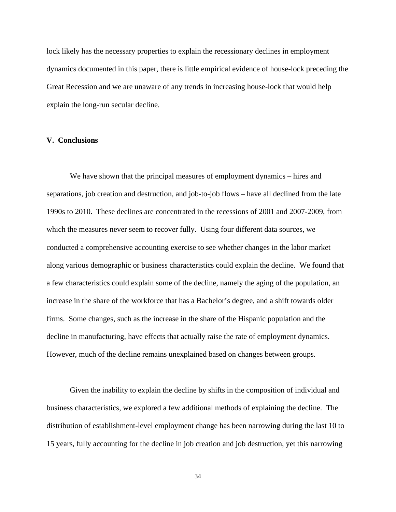lock likely has the necessary properties to explain the recessionary declines in employment dynamics documented in this paper, there is little empirical evidence of house-lock preceding the Great Recession and we are unaware of any trends in increasing house-lock that would help explain the long-run secular decline.

#### **V. Conclusions**

We have shown that the principal measures of employment dynamics – hires and separations, job creation and destruction, and job-to-job flows – have all declined from the late 1990s to 2010. These declines are concentrated in the recessions of 2001 and 2007-2009, from which the measures never seem to recover fully. Using four different data sources, we conducted a comprehensive accounting exercise to see whether changes in the labor market along various demographic or business characteristics could explain the decline. We found that a few characteristics could explain some of the decline, namely the aging of the population, an increase in the share of the workforce that has a Bachelor's degree, and a shift towards older firms. Some changes, such as the increase in the share of the Hispanic population and the decline in manufacturing, have effects that actually raise the rate of employment dynamics. However, much of the decline remains unexplained based on changes between groups.

 Given the inability to explain the decline by shifts in the composition of individual and business characteristics, we explored a few additional methods of explaining the decline. The distribution of establishment-level employment change has been narrowing during the last 10 to 15 years, fully accounting for the decline in job creation and job destruction, yet this narrowing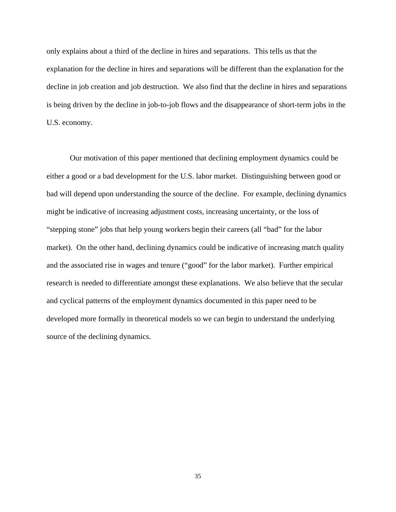only explains about a third of the decline in hires and separations. This tells us that the explanation for the decline in hires and separations will be different than the explanation for the decline in job creation and job destruction. We also find that the decline in hires and separations is being driven by the decline in job-to-job flows and the disappearance of short-term jobs in the U.S. economy.

 Our motivation of this paper mentioned that declining employment dynamics could be either a good or a bad development for the U.S. labor market. Distinguishing between good or bad will depend upon understanding the source of the decline. For example, declining dynamics might be indicative of increasing adjustment costs, increasing uncertainty, or the loss of "stepping stone" jobs that help young workers begin their careers (all "bad" for the labor market). On the other hand, declining dynamics could be indicative of increasing match quality and the associated rise in wages and tenure ("good" for the labor market). Further empirical research is needed to differentiate amongst these explanations. We also believe that the secular and cyclical patterns of the employment dynamics documented in this paper need to be developed more formally in theoretical models so we can begin to understand the underlying source of the declining dynamics.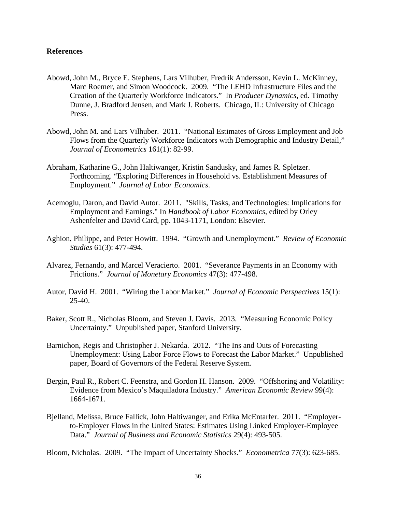# **References**

- Abowd, John M., Bryce E. Stephens, Lars Vilhuber, Fredrik Andersson, Kevin L. McKinney, Marc Roemer, and Simon Woodcock. 2009. "The LEHD Infrastructure Files and the Creation of the Quarterly Workforce Indicators." In *Producer Dynamics*, ed. Timothy Dunne, J. Bradford Jensen, and Mark J. Roberts. Chicago, IL: University of Chicago Press.
- Abowd, John M. and Lars Vilhuber. 2011. "National Estimates of Gross Employment and Job Flows from the Quarterly Workforce Indicators with Demographic and Industry Detail," *Journal of Econometrics* 161(1): 82-99.
- Abraham, Katharine G., John Haltiwanger, Kristin Sandusky, and James R. Spletzer. Forthcoming. "Exploring Differences in Household vs. Establishment Measures of Employment." *Journal of Labor Economics*.
- Acemoglu, Daron, and David Autor. 2011. "Skills, Tasks, and Technologies: Implications for Employment and Earnings." In *Handbook of Labor Economics*, edited by Orley Ashenfelter and David Card, pp. 1043-1171, London: Elsevier.
- Aghion, Philippe, and Peter Howitt. 1994. "Growth and Unemployment." *Review of Economic Studies* 61(3): 477-494.
- Alvarez, Fernando, and Marcel Veracierto. 2001. "Severance Payments in an Economy with Frictions." *Journal of Monetary Economics* 47(3): 477-498.
- Autor, David H. 2001. "Wiring the Labor Market." *Journal of Economic Perspectives* 15(1): 25-40.
- Baker, Scott R., Nicholas Bloom, and Steven J. Davis. 2013. "Measuring Economic Policy Uncertainty." Unpublished paper, Stanford University.
- Barnichon, Regis and Christopher J. Nekarda. 2012. "The Ins and Outs of Forecasting Unemployment: Using Labor Force Flows to Forecast the Labor Market." Unpublished paper, Board of Governors of the Federal Reserve System.
- Bergin, Paul R., Robert C. Feenstra, and Gordon H. Hanson. 2009. "Offshoring and Volatility: Evidence from Mexico's Maquiladora Industry." *American Economic Review* 99(4): 1664-1671.
- Bjelland, Melissa, Bruce Fallick, John Haltiwanger, and Erika McEntarfer. 2011. "Employerto-Employer Flows in the United States: Estimates Using Linked Employer-Employee Data." *Journal of Business and Economic Statistics* 29(4): 493-505.

Bloom, Nicholas. 2009. "The Impact of Uncertainty Shocks." *Econometrica* 77(3): 623-685.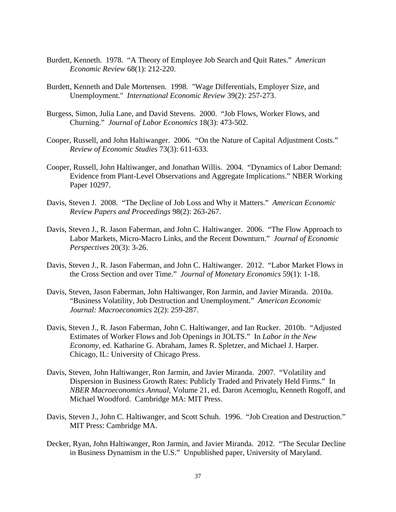- Burdett, Kenneth. 1978. "A Theory of Employee Job Search and Quit Rates." *American Economic Review* 68(1): 212-220.
- Burdett, Kenneth and Dale Mortensen. 1998. "Wage Differentials, Employer Size, and Unemployment." *International Economic Review* 39(2): 257-273.
- Burgess, Simon, Julia Lane, and David Stevens. 2000. "Job Flows, Worker Flows, and Churning." *Journal of Labor Economics* 18(3): 473-502.
- Cooper, Russell, and John Haltiwanger. 2006. "On the Nature of Capital Adjustment Costs." *Review of Economic Studies* 73(3): 611-633.
- Cooper, Russell, John Haltiwanger, and Jonathan Willis. 2004. "Dynamics of Labor Demand: Evidence from Plant-Level Observations and Aggregate Implications." NBER Working Paper 10297.
- Davis, Steven J. 2008. "The Decline of Job Loss and Why it Matters." *American Economic Review Papers and Proceedings* 98(2): 263-267.
- Davis, Steven J., R. Jason Faberman, and John C. Haltiwanger. 2006. "The Flow Approach to Labor Markets, Micro-Macro Links, and the Recent Downturn." *Journal of Economic Perspectives* 20(3): 3-26.
- Davis, Steven J., R. Jason Faberman, and John C. Haltiwanger. 2012. "Labor Market Flows in the Cross Section and over Time." *Journal of Monetary Economics* 59(1): 1-18.
- Davis, Steven, Jason Faberman, John Haltiwanger, Ron Jarmin, and Javier Miranda. 2010a. "Business Volatility, Job Destruction and Unemployment." *American Economic Journal: Macroeconomics* 2(2): 259-287.
- Davis, Steven J., R. Jason Faberman, John C. Haltiwanger, and Ian Rucker. 2010b. "Adjusted Estimates of Worker Flows and Job Openings in JOLTS." In *Labor in the New Economy*, ed. Katharine G. Abraham, James R. Spletzer, and Michael J. Harper. Chicago, IL: University of Chicago Press.
- Davis, Steven, John Haltiwanger, Ron Jarmin, and Javier Miranda. 2007. "Volatility and Dispersion in Business Growth Rates: Publicly Traded and Privately Held Firms." In *NBER Macroeconomics Annual*, Volume 21, ed. Daron Acemoglu, Kenneth Rogoff, and Michael Woodford. Cambridge MA: MIT Press.
- Davis, Steven J., John C. Haltiwanger, and Scott Schuh. 1996. "Job Creation and Destruction." MIT Press: Cambridge MA.
- Decker, Ryan, John Haltiwanger, Ron Jarmin, and Javier Miranda. 2012. "The Secular Decline in Business Dynamism in the U.S." Unpublished paper, University of Maryland.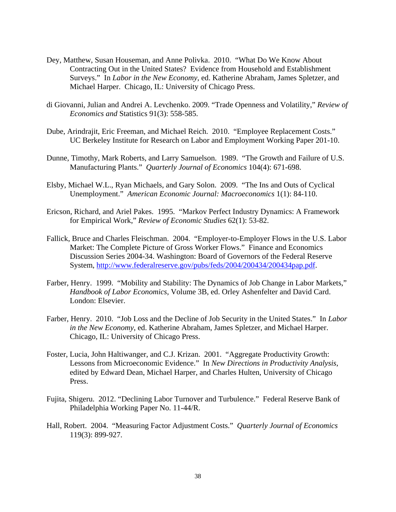- Dey, Matthew, Susan Houseman, and Anne Polivka. 2010. "What Do We Know About Contracting Out in the United States? Evidence from Household and Establishment Surveys." In *Labor in the New Economy*, ed. Katherine Abraham, James Spletzer, and Michael Harper. Chicago, IL: University of Chicago Press.
- di Giovanni, Julian and Andrei A. Levchenko. 2009. "Trade Openness and Volatility," *Review of Economics and* Statistics 91(3): 558-585.
- Dube, Arindrajit, Eric Freeman, and Michael Reich. 2010. "Employee Replacement Costs." UC Berkeley Institute for Research on Labor and Employment Working Paper 201-10.
- Dunne, Timothy, Mark Roberts, and Larry Samuelson. 1989. "The Growth and Failure of U.S. Manufacturing Plants." *Quarterly Journal of Economics* 104(4): 671-698.
- Elsby, Michael W.L., Ryan Michaels, and Gary Solon. 2009. "The Ins and Outs of Cyclical Unemployment." *American Economic Journal: Macroeconomics* 1(1): 84-110.
- Ericson, Richard, and Ariel Pakes. 1995. "Markov Perfect Industry Dynamics: A Framework for Empirical Work," *Review of Economic Studies* 62(1): 53-82.
- Fallick, Bruce and Charles Fleischman. 2004. "Employer-to-Employer Flows in the U.S. Labor Market: The Complete Picture of Gross Worker Flows." Finance and Economics Discussion Series 2004-34. Washington: Board of Governors of the Federal Reserve System, http://www.federalreserve.gov/pubs/feds/2004/200434/200434pap.pdf.
- Farber, Henry. 1999. "Mobility and Stability: The Dynamics of Job Change in Labor Markets," *Handbook of Labor Economics*, Volume 3B, ed. Orley Ashenfelter and David Card. London: Elsevier.
- Farber, Henry. 2010. "Job Loss and the Decline of Job Security in the United States." In *Labor in the New Economy*, ed. Katherine Abraham, James Spletzer, and Michael Harper. Chicago, IL: University of Chicago Press.
- Foster, Lucia, John Haltiwanger, and C.J. Krizan. 2001. "Aggregate Productivity Growth: Lessons from Microeconomic Evidence." In *New Directions in Productivity Analysis*, edited by Edward Dean, Michael Harper, and Charles Hulten, University of Chicago Press.
- Fujita, Shigeru. 2012. "Declining Labor Turnover and Turbulence." Federal Reserve Bank of Philadelphia Working Paper No. 11-44/R.
- Hall, Robert. 2004. "Measuring Factor Adjustment Costs." *Quarterly Journal of Economics* 119(3): 899-927.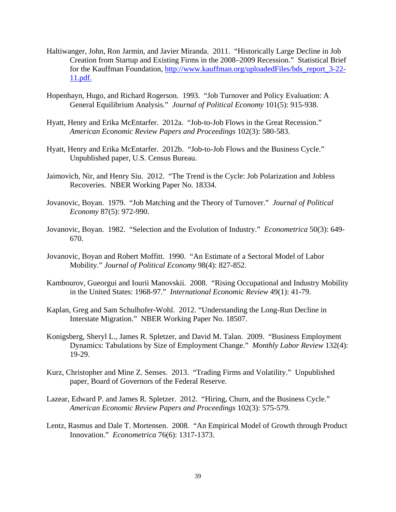- Haltiwanger, John, Ron Jarmin, and Javier Miranda. 2011. "Historically Large Decline in Job Creation from Startup and Existing Firms in the 2008–2009 Recession." Statistical Brief for the Kauffman Foundation, http://www.kauffman.org/uploadedFiles/bds\_report\_3-22- 11.pdf.
- Hopenhayn, Hugo, and Richard Rogerson. 1993. "Job Turnover and Policy Evaluation: A General Equilibrium Analysis." *Journal of Political Economy* 101(5): 915-938.
- Hyatt, Henry and Erika McEntarfer. 2012a. "Job-to-Job Flows in the Great Recession." *American Economic Review Papers and Proceedings* 102(3): 580-583.
- Hyatt, Henry and Erika McEntarfer. 2012b. "Job-to-Job Flows and the Business Cycle." Unpublished paper, U.S. Census Bureau.
- Jaimovich, Nir, and Henry Siu. 2012. "The Trend is the Cycle: Job Polarization and Jobless Recoveries. NBER Working Paper No. 18334.
- Jovanovic, Boyan. 1979. "Job Matching and the Theory of Turnover." *Journal of Political Economy* 87(5): 972-990.
- Jovanovic, Boyan. 1982. "Selection and the Evolution of Industry." *Econometrica* 50(3): 649- 670.
- Jovanovic, Boyan and Robert Moffitt. 1990. "An Estimate of a Sectoral Model of Labor Mobility." *Journal of Political Economy* 98(4): 827-852.
- Kambourov, Gueorgui and Iourii Manovskii. 2008. "Rising Occupational and Industry Mobility in the United States: 1968-97." *International Economic Review* 49(1): 41-79.
- Kaplan, Greg and Sam Schulhofer-Wohl. 2012. "Understanding the Long-Run Decline in Interstate Migration." NBER Working Paper No. 18507.
- Konigsberg, Sheryl L., James R. Spletzer, and David M. Talan. 2009. "Business Employment Dynamics: Tabulations by Size of Employment Change." *Monthly Labor Review* 132(4): 19-29.
- Kurz, Christopher and Mine Z. Senses. 2013. "Trading Firms and Volatility." Unpublished paper, Board of Governors of the Federal Reserve.
- Lazear, Edward P. and James R. Spletzer. 2012. "Hiring, Churn, and the Business Cycle." *American Economic Review Papers and Proceedings* 102(3): 575-579.
- Lentz, Rasmus and Dale T. Mortensen. 2008. "An Empirical Model of Growth through Product Innovation." *Econometrica* 76(6): 1317-1373.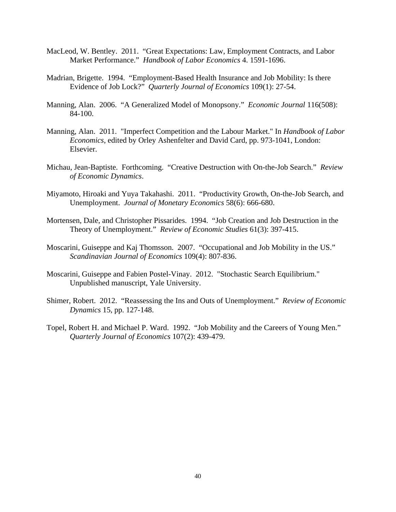- MacLeod, W. Bentley. 2011. "Great Expectations: Law, Employment Contracts, and Labor Market Performance." *Handbook of Labor Economics* 4. 1591-1696.
- Madrian, Brigette. 1994. "Employment-Based Health Insurance and Job Mobility: Is there Evidence of Job Lock?" *Quarterly Journal of Economics* 109(1): 27-54.
- Manning, Alan. 2006. "A Generalized Model of Monopsony." *Economic Journal* 116(508): 84-100.
- Manning, Alan. 2011. "Imperfect Competition and the Labour Market." In *Handbook of Labor Economics*, edited by Orley Ashenfelter and David Card, pp. 973-1041, London: Elsevier.
- Michau, Jean-Baptiste. Forthcoming. "Creative Destruction with On-the-Job Search." *Review of Economic Dynamics*.
- Miyamoto, Hiroaki and Yuya Takahashi. 2011. "Productivity Growth, On-the-Job Search, and Unemployment. *Journal of Monetary Economics* 58(6): 666-680.
- Mortensen, Dale, and Christopher Pissarides. 1994. "Job Creation and Job Destruction in the Theory of Unemployment." *Review of Economic Studies* 61(3): 397-415.
- Moscarini, Guiseppe and Kaj Thomsson. 2007. "Occupational and Job Mobility in the US." *Scandinavian Journal of Economics* 109(4): 807-836.
- Moscarini, Guiseppe and Fabien Postel-Vinay. 2012. "Stochastic Search Equilibrium." Unpublished manuscript, Yale University.
- Shimer, Robert. 2012. "Reassessing the Ins and Outs of Unemployment." *Review of Economic Dynamics* 15, pp. 127-148.
- Topel, Robert H. and Michael P. Ward. 1992. "Job Mobility and the Careers of Young Men." *Quarterly Journal of Economics* 107(2): 439-479.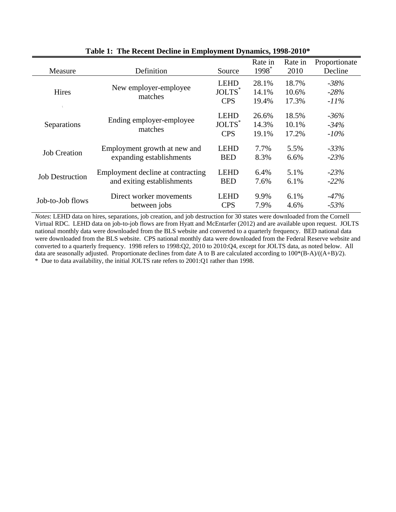| Measure                | Definition                        | Source                    | Rate in<br>1998 <sup>*</sup> | Rate in<br>2010 | Proportionate<br>Decline |
|------------------------|-----------------------------------|---------------------------|------------------------------|-----------------|--------------------------|
|                        |                                   | <b>LEHD</b>               | 28.1%                        | 18.7%           | $-38%$                   |
| Hires                  | New employer-employee             | JOLTS <sup>*</sup>        | 14.1%                        | 10.6%           | $-28%$                   |
|                        | matches                           | <b>CPS</b>                | 19.4%                        | 17.3%           | $-11\%$                  |
|                        |                                   | <b>LEHD</b>               | 26.6%                        | 18.5%           | $-36%$                   |
| Separations            | Ending employer-employee          | <b>JOLTS</b> <sup>*</sup> | 14.3%                        | 10.1%           | $-34%$                   |
|                        | matches                           | <b>CPS</b>                | 19.1%                        | 17.2%           | $-10\%$                  |
|                        | Employment growth at new and      | <b>LEHD</b>               | 7.7%                         | 5.5%            | $-33%$                   |
| <b>Job Creation</b>    | expanding establishments          | <b>BED</b>                | 8.3%                         | 6.6%            | $-23%$                   |
|                        | Employment decline at contracting | <b>LEHD</b>               | 6.4%                         | 5.1%            | $-23%$                   |
| <b>Job Destruction</b> | and exiting establishments        | <b>BED</b>                | 7.6%                         | 6.1%            | $-22\%$                  |
|                        | Direct worker movements           | <b>LEHD</b>               | 9.9%                         | 6.1%            | $-47%$                   |
| Job-to-Job flows       | between jobs                      | <b>CPS</b>                | 7.9%                         | 4.6%            | $-53%$                   |

**Table 1: The Recent Decline in Employment Dynamics, 1998-2010\***

*Notes*: LEHD data on hires, separations, job creation, and job destruction for 30 states were downloaded from the Cornell Virtual RDC. LEHD data on job-to-job flows are from Hyatt and McEntarfer (2012) and are available upon request. JOLTS national monthly data were downloaded from the BLS website and converted to a quarterly frequency. BED national data were downloaded from the BLS website. CPS national monthly data were downloaded from the Federal Reserve website and converted to a quarterly frequency. 1998 refers to 1998:Q2, 2010 to 2010:Q4, except for JOLTS data, as noted below. All data are seasonally adjusted. Proportionate declines from date A to B are calculated according to 100\*(B-A)/((A+B)/2). \* Due to data availability, the initial JOLTS rate refers to 2001:Q1 rather than 1998.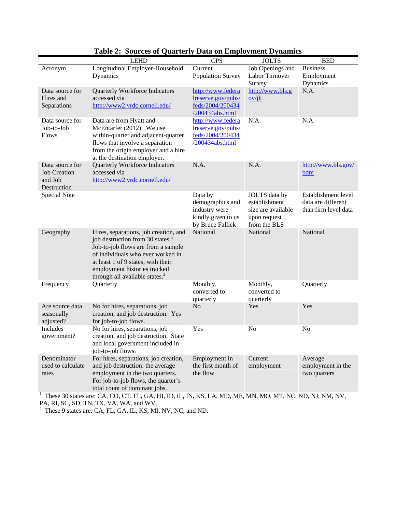|                                                                  | <b>LEHD</b>                                                                                                                                                                                                                                                                                      | <b>CPS</b>                                                                             | <b>JOLTS</b>                                                                         | <b>BED</b>                                                        |
|------------------------------------------------------------------|--------------------------------------------------------------------------------------------------------------------------------------------------------------------------------------------------------------------------------------------------------------------------------------------------|----------------------------------------------------------------------------------------|--------------------------------------------------------------------------------------|-------------------------------------------------------------------|
| Acronym                                                          | Longitudinal Employer-Household<br>Dynamics                                                                                                                                                                                                                                                      | Current<br>Population Survey                                                           | Job Openings and<br>Labor Turnover<br>Survey                                         | <b>Business</b><br>Employment<br>Dynamics                         |
| Data source for<br>Hires and<br>Separations                      | <b>Quarterly Workforce Indicators</b><br>accessed via<br>http://www2.vrdc.cornell.edu/                                                                                                                                                                                                           | http://www.federa<br>lreserve.gov/pubs/<br>feds/2004/200434<br>/200434abs.html         | http://www.bls.g<br>ov/ilt                                                           | N.A.                                                              |
| Data source for<br>Job-to-Job<br><b>Flows</b>                    | Data are from Hyatt and<br>McEntarfer (2012). We use<br>within-quarter and adjacent-quarter<br>flows that involve a separation<br>from the origin employer and a hire<br>at the destination employer.                                                                                            | http://www.federa<br>lreserve.gov/pubs/<br>feds/2004/200434<br>/200434abs.html         | N.A.                                                                                 | N.A.                                                              |
| Data source for<br><b>Job Creation</b><br>and Job<br>Destruction | Quarterly Workforce Indicators<br>accessed via<br>http://www2.vrdc.cornell.edu/                                                                                                                                                                                                                  | N.A.                                                                                   | N.A.                                                                                 | http://www.bls.gov/<br>bdm                                        |
| Special Note                                                     |                                                                                                                                                                                                                                                                                                  | Data by<br>demographics and<br>industry were<br>kindly given to us<br>by Bruce Fallick | JOLTS data by<br>establishment<br>size are available<br>upon request<br>from the BLS | Establishment level<br>data are different<br>than firm level data |
| Geography                                                        | Hires, separations, job creation, and<br>job destruction from 30 states. <sup>1</sup><br>Job-to-job flows are from a sample<br>of individuals who ever worked in<br>at least 1 of 9 states, with their<br>employment histories tracked<br>through all available states. <sup>2</sup>             | National                                                                               | National                                                                             | National                                                          |
| Frequency                                                        | Quarterly                                                                                                                                                                                                                                                                                        | Monthly,<br>converted to<br>quarterly                                                  | Monthly,<br>converted to<br>quarterly                                                | Quarterly                                                         |
| Are source data<br>seasonally<br>adjusted?                       | No for hires, separations, job<br>creation, and job destruction. Yes<br>for job-to-job flows.                                                                                                                                                                                                    | N <sub>o</sub>                                                                         | Yes                                                                                  | Yes                                                               |
| Includes<br>government?                                          | No for hires, separations, job<br>creation, and job destruction. State<br>and local government included in<br>job-to-job flows.                                                                                                                                                                  | Yes                                                                                    | No                                                                                   | N <sub>o</sub>                                                    |
| Denominator<br>used to calculate<br>rates                        | For hires, separations, job creation,<br>and job destruction: the average<br>employment in the two quarters.<br>For job-to-job flows, the quarter's<br>total count of dominant jobs.<br>These 30 states are: CA, CO, CT, FL, GA, HI, ID, IL, IN, KS, LA, MD, ME, MN, MO, MT, NC, ND, NJ, NM, NV, | Employment in<br>the first month of<br>the flow                                        | Current<br>employment                                                                | Average<br>employment in the<br>two quarters                      |

# **Table 2: Sources of Quarterly Data on Employment Dynamics**

PA, RI, SC, SD, TN, TX, VA, WA, and WV.<br><sup>2</sup> These 9 states are: CA, FL, GA, IL, KS, MI, NV, NC, and ND.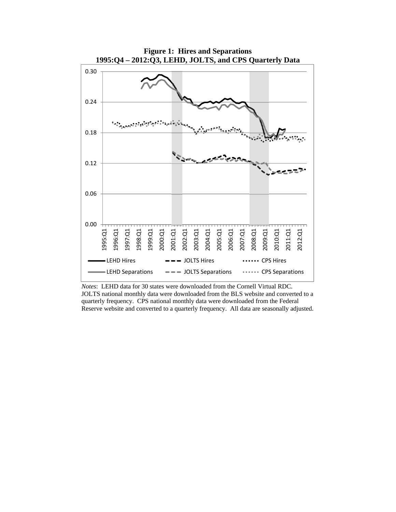

**Figure 1: Hires and Separations 1995:Q4 – 2012:Q3, LEHD, JOLTS, and CPS Quarterly Data** 

*Notes*: LEHD data for 30 states were downloaded from the Cornell Virtual RDC. JOLTS national monthly data were downloaded from the BLS website and converted to a quarterly frequency. CPS national monthly data were downloaded from the Federal Reserve website and converted to a quarterly frequency. All data are seasonally adjusted.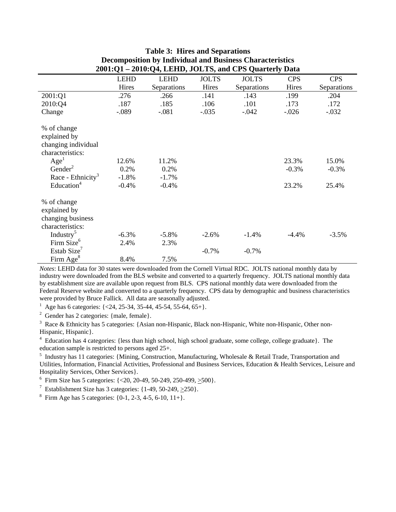|                                                                        |             | 2001:01 – 2010:04, LEHD, JOL 18, and CPS Quarterly Data |              |              |            |             |
|------------------------------------------------------------------------|-------------|---------------------------------------------------------|--------------|--------------|------------|-------------|
|                                                                        | <b>LEHD</b> | <b>LEHD</b>                                             | <b>JOLTS</b> | <b>JOLTS</b> | <b>CPS</b> | <b>CPS</b>  |
|                                                                        | Hires       | Separations                                             | Hires        | Separations  | Hires      | Separations |
| 2001:Q1                                                                | .276        | .266                                                    | .141         | .143         | .199       | .204        |
| 2010:Q4                                                                | .187        | .185                                                    | .106         | .101         | .173       | .172        |
| Change                                                                 | $-.089$     | $-.081$                                                 | $-.035$      | $-.042$      | $-.026$    | $-.032$     |
| % of change<br>explained by<br>changing individual<br>characteristics: |             |                                                         |              |              |            |             |
| Age <sup>1</sup>                                                       | 12.6%       | 11.2%                                                   |              |              | 23.3%      | 15.0%       |
| Gender <sup>2</sup>                                                    | 0.2%        | 0.2%                                                    |              |              | $-0.3%$    | $-0.3\%$    |
| Race - Ethnicity <sup>3</sup>                                          | $-1.8%$     | $-1.7%$                                                 |              |              |            |             |
| Education <sup>4</sup>                                                 | $-0.4%$     | $-0.4%$                                                 |              |              | 23.2%      | 25.4%       |
| % of change<br>explained by<br>changing business<br>characteristics:   |             |                                                         |              |              |            |             |
| Industry <sup>5</sup>                                                  | $-6.3%$     | $-5.8\%$                                                | $-2.6%$      | $-1.4%$      | $-4.4%$    | $-3.5%$     |
| Firm Size <sup>6</sup>                                                 | 2.4%        | 2.3%                                                    |              |              |            |             |
| Estab Size <sup>7</sup>                                                |             |                                                         | $-0.7%$      | $-0.7%$      |            |             |
| Firm Age $8$                                                           | 8.4%        | 7.5%                                                    |              |              |            |             |

#### **Table 3: Hires and Separations Decomposition by Individual and Business Characteristics**   $2010 \cdot \Omega_{\text{A}}$  **LEHD, JOLTS**

*Notes*: LEHD data for 30 states were downloaded from the Cornell Virtual RDC. JOLTS national monthly data by industry were downloaded from the BLS website and converted to a quarterly frequency. JOLTS national monthly data by establishment size are available upon request from BLS. CPS national monthly data were downloaded from the Federal Reserve website and converted to a quarterly frequency. CPS data by demographic and business characteristics were provided by Bruce Fallick. All data are seasonally adjusted.

<sup>1</sup> Age has 6 categories:  $\{<\,24, 25\text{-}34, 35\text{-}44, 45\text{-}54, 55\text{-}64, 65\text{+}\}.$ 

<sup>2</sup> Gender has 2 categories:  ${male, female}.$ 

 $3$  Race & Ethnicity has 5 categories: {Asian non-Hispanic, Black non-Hispanic, White non-Hispanic, Other non-Hispanic, Hispanic}.

<sup>4</sup> Education has 4 categories: {less than high school, high school graduate, some college, college graduate}. The education sample is restricted to persons aged 25+.

<sup>5</sup> Industry has 11 categories: {Mining, Construction, Manufacturing, Wholesale & Retail Trade, Transportation and Utilities, Information, Financial Activities, Professional and Business Services, Education & Health Services, Leisure and Hospitality Services, Other Services}.

<sup>6</sup> Firm Size has 5 categories:  $\{<20, 20-49, 50-249, 250-499, \geq 500\}$ .

<sup>7</sup> Establishment Size has 3 categories:  $\{1-49, 50-249, \geq 250\}$ .

<sup>8</sup> Firm Age has 5 categories:  $\{0-1, 2-3, 4-5, 6-10, 11+\}.$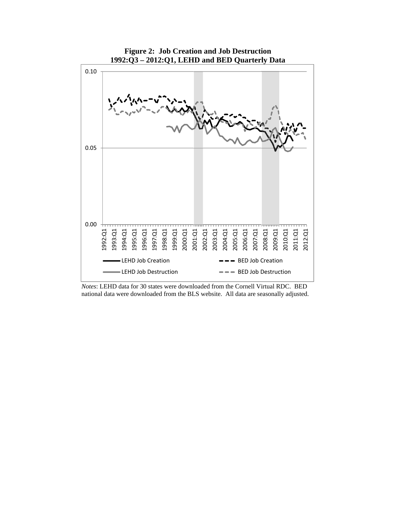

*Notes*: LEHD data for 30 states were downloaded from the Cornell Virtual RDC. BED national data were downloaded from the BLS website. All data are seasonally adjusted.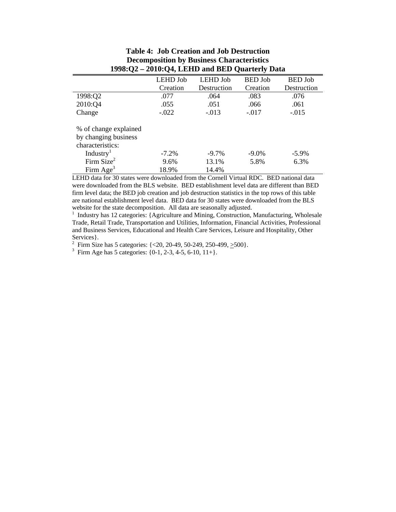|                                                                                                            | <b>LEHD Job</b>  | <b>LEHD Job</b>   | <b>BED</b> Job   | <b>BED</b> Job   |
|------------------------------------------------------------------------------------------------------------|------------------|-------------------|------------------|------------------|
|                                                                                                            | Creation         | Destruction       | Creation         | Destruction      |
| 1998:Q2                                                                                                    | .077             | .064              | .083             | .076             |
| 2010:Q4                                                                                                    | .055             | .051              | .066             | .061             |
| Change                                                                                                     | $-.022$          | $-.013$           | $-.017$          | $-.015$          |
| % of change explained<br>by changing business<br>characteristics:<br>Industry <sup>1</sup><br>Firm $Size2$ | $-7.2\%$<br>9.6% | $-9.7\%$<br>13.1% | $-9.0\%$<br>5.8% | $-5.9\%$<br>6.3% |
| Firm Age <sup>3</sup>                                                                                      | 18.9%            | 14.4%             |                  |                  |

**Table 4: Job Creation and Job Destruction Decomposition by Business Characteristics 1998:Q2 – 2010:Q4, LEHD and BED Quarterly Data** 

LEHD data for 30 states were downloaded from the Cornell Virtual RDC. BED national data were downloaded from the BLS website. BED establishment level data are different than BED firm level data; the BED job creation and job destruction statistics in the top rows of this table are national establishment level data. BED data for 30 states were downloaded from the BLS website for the state decomposition. All data are seasonally adjusted.

1 Industry has 12 categories: {Agriculture and Mining, Construction, Manufacturing, Wholesale Trade, Retail Trade, Transportation and Utilities, Information, Financial Activities, Professional and Business Services, Educational and Health Care Services, Leisure and Hospitality, Other Services}.

<sup>2</sup> Firm Size has 5 categories:  $\{<20, 20-49, 50-249, 250-499, \geq 500\}$ .

<sup>3</sup> Firm Age has 5 categories:  $\{0-1, 2-3, 4-5, 6-10, 11+\}$ .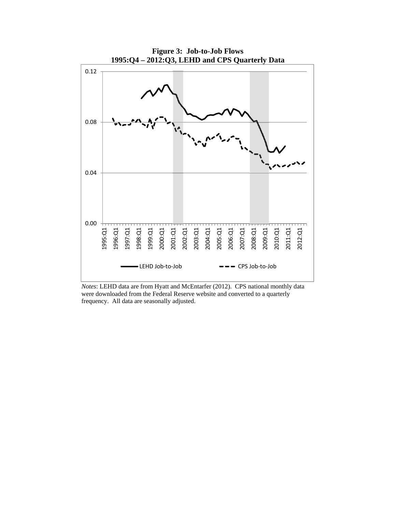

*Notes*: LEHD data are from Hyatt and McEntarfer (2012). CPS national monthly data were downloaded from the Federal Reserve website and converted to a quarterly frequency. All data are seasonally adjusted.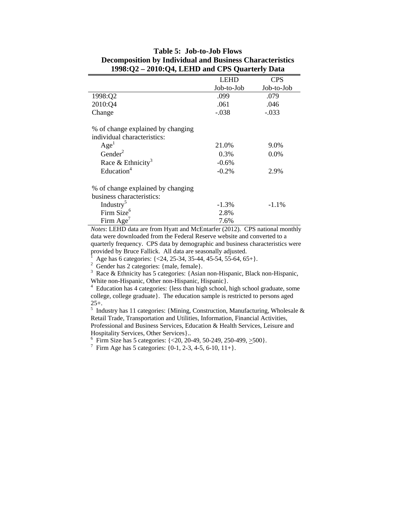|                                   | LEHD       | <b>CPS</b> |
|-----------------------------------|------------|------------|
|                                   | Job-to-Job | Job-to-Job |
| 1998:Q2                           | .099       | .079       |
| 2010:Q4                           | .061       | .046       |
| Change                            | $-.038$    | $-.033$    |
| % of change explained by changing |            |            |
| individual characteristics:       |            |            |
| Age <sup>1</sup>                  | 21.0%      | 9.0%       |
| Gender <sup>2</sup>               | 0.3%       | 0.0%       |
| Race & Ethnicity <sup>3</sup>     | $-0.6%$    |            |
| Education $4$                     | $-0.2\%$   | 2.9%       |
| % of change explained by changing |            |            |
| business characteristics:         |            |            |
| Industry <sup>5</sup>             | $-1.3%$    | $-1.1\%$   |
| Firm Size <sup>6</sup>            | 2.8%       |            |
| Firm $Age^7$                      | 7.6%       |            |

# **Table 5: Job-to-Job Flows Decomposition by Individual and Business Characteristics 1998:Q2 – 2010:Q4, LEHD and CPS Quarterly Data**

*Notes*: LEHD data are from Hyatt and McEntarfer (2012). CPS national monthly data were downloaded from the Federal Reserve website and converted to a quarterly frequency. CPS data by demographic and business characteristics were provided by Bruce Fallick. All data are seasonally adjusted.

1 Age has 6 categories: {<24, 25-34, 35-44, 45-54, 55-64, 65+}.

2 Gender has 2 categories: {male, female}.

3 Race & Ethnicity has 5 categories: {Asian non-Hispanic, Black non-Hispanic, White non-Hispanic, Other non-Hispanic, Hispanic}.

<sup>4</sup> Education has 4 categories: {less than high school, high school graduate, some college, college graduate}. The education sample is restricted to persons aged 25+. 5 Industry has 11 categories: {Mining, Construction, Manufacturing, Wholesale &

Retail Trade, Transportation and Utilities, Information, Financial Activities, Professional and Business Services, Education & Health Services, Leisure and Hospitality Services, Other Services}..

<sup>6</sup> Firm Size has 5 categories:  $\{<20, 20-49, 50-249, 250-499, \geq 500\}$ .

<sup>7</sup> Firm Age has 5 categories:  $\{0-1, 2-3, 4-5, 6-10, 11+\}.$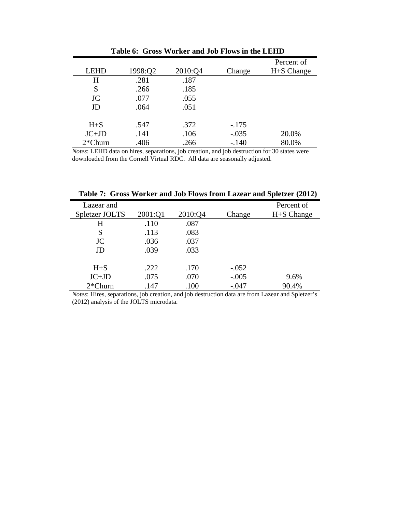|             |         |         |         | Percent of |
|-------------|---------|---------|---------|------------|
| <b>LEHD</b> | 1998:Q2 | 2010:Q4 | Change  | H+S Change |
| H           | .281    | .187    |         |            |
| S           | .266    | .185    |         |            |
| JC          | .077    | .055    |         |            |
| JD          | .064    | .051    |         |            |
|             |         |         |         |            |
| $H + S$     | .547    | .372    | $-.175$ |            |
| $JC+JD$     | .141    | .106    | $-.035$ | 20.0%      |
| $2*Churn$   | .406    | .266    | $-.140$ | 80.0%      |

**Table 6: Gross Worker and Job Flows in the LEHD** 

*Notes*: LEHD data on hires, separations, job creation, and job destruction for 30 states were downloaded from the Cornell Virtual RDC. All data are seasonally adjusted.

**Table 7: Gross Worker and Job Flows from Lazear and Spletzer (2012)** 

| Lazear and     |         |         |         | Percent of |
|----------------|---------|---------|---------|------------|
| Spletzer JOLTS | 2001:Q1 | 2010:Q4 | Change  | H+S Change |
| H              | .110    | .087    |         |            |
| S              | .113    | .083    |         |            |
| JC             | .036    | .037    |         |            |
| JD             | .039    | .033    |         |            |
|                |         |         |         |            |
| $H + S$        | .222    | .170    | $-.052$ |            |
| $JC+JD$        | .075    | .070    | $-.005$ | 9.6%       |
| $2*Churn$      | .147    | .100    | $-.047$ | 90.4%      |

*Notes*: Hires, separations, job creation, and job destruction data are from Lazear and Spletzer's (2012) analysis of the JOLTS microdata.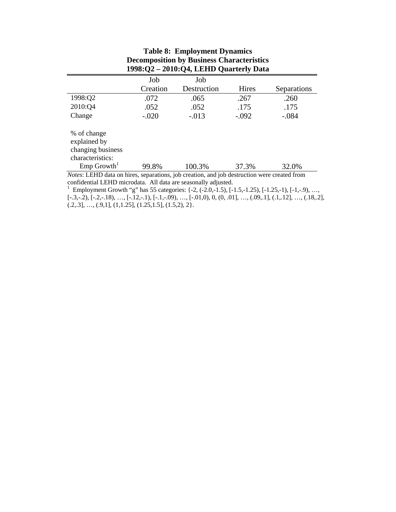| $1998:Q2 - 2010:Q4$ , LEHD Quarterly Data                                                          |          |             |         |             |  |  |  |
|----------------------------------------------------------------------------------------------------|----------|-------------|---------|-------------|--|--|--|
|                                                                                                    | Job      | Job         |         |             |  |  |  |
|                                                                                                    | Creation | Destruction | Hires   | Separations |  |  |  |
| 1998:Q2                                                                                            | .072     | .065        | .267    | .260        |  |  |  |
| 2010:Q4                                                                                            | .052     | .052        | .175    | .175        |  |  |  |
| Change                                                                                             | $-.020$  | $-.013$     | $-.092$ | $-.084$     |  |  |  |
| % of change<br>explained by<br>changing business<br>characteristics:                               |          |             |         |             |  |  |  |
| $Emp$ Growth <sup>1</sup>                                                                          | 99.8%    | 100.3%      | 37.3%   | 32.0%       |  |  |  |
| <i>Notes:</i> LEHD data on hires, separations, job creation, and job destruction were created from |          |             |         |             |  |  |  |

# **Table 8: Employment Dynamics Decomposition by Business Characteristics**

*Notes*: LEHD data on hires, separations, job creation, and job destruction were created from

confidential LEHD microdata. All data are seasonally adjusted.<br><sup>1</sup> Employment Growth "g" has 55 categories:  $\{-2, (-2.0, -1.5), [-1.5, -1.25), [-1.25, -1), [-1, -.9), ...,$  $[-3,-2), [-2,-18), \ldots, [-12,-1), [-1,-09), \ldots, [-01,0), 0, (0, 01], \ldots, (09, 1], (1, 12], \ldots, (18, 2],$  $(0.2, 0.3], \ldots, (0.9, 1], (1, 1.25], (1.25, 1.5], (1.5, 2), 2$ .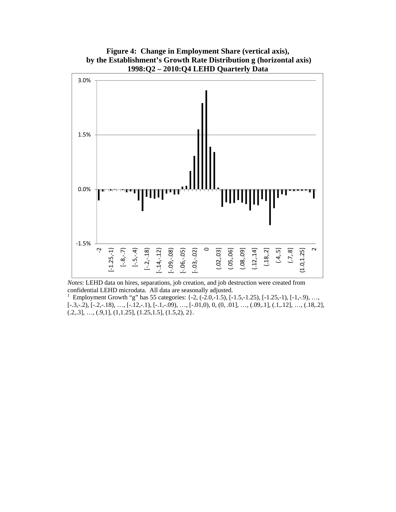

**Figure 4: Change in Employment Share (vertical axis), by the Establishment's Growth Rate Distribution g (horizontal axis) 1998:Q2 – 2010:Q4 LEHD Quarterly Data** 

*Notes*: LEHD data on hires, separations, job creation, and job destruction were created from confidential LEHD microdata. All data are seasonally adjusted.<br><sup>1</sup> Employment Growth  $(2^{\circ})$  is  $\leq$ 

 Employment Growth "g" has 55 categories: {-2, (-2.0,-1.5), [-1.5,-1.25), [-1.25,-1), [-1,-.9), …,  $[-3,-2), [-2,-18), ..., [-12,-1), [-1,-09), ..., [-01,0), 0, (0, 01], ..., (09, 1], (1, 12], ..., (18, 2],$  $(0.2, 0.3], \ldots, (0.9, 1], (1, 1.25], (1.25, 1.5], (1.5, 2), 2$ .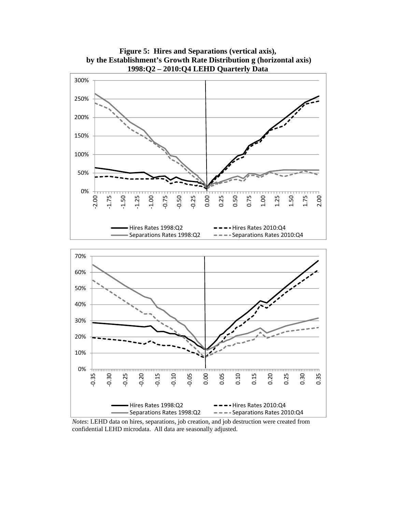

**Figure 5: Hires and Separations (vertical axis), by the Establishment's Growth Rate Distribution g (horizontal axis)** 

*Notes*: LEHD data on hires, separations, job creation, and job destruction were created from confidential LEHD microdata. All data are seasonally adjusted.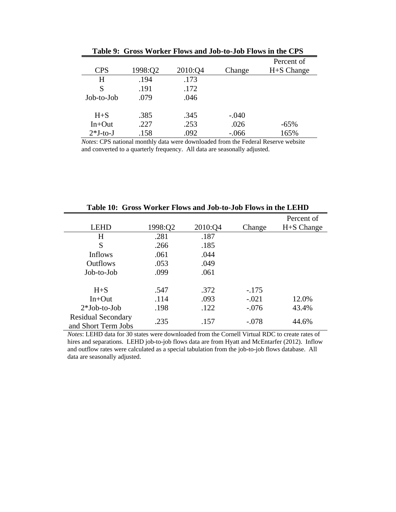| Percent of<br>H+S Change |
|--------------------------|
|                          |
|                          |
|                          |
|                          |
|                          |
|                          |
| $-65%$                   |
| 165%                     |
|                          |

| Table 9: Gross Worker Flows and Job-to-Job Flows in the CPS |  |  |  |  |  |  |  |  |  |  |
|-------------------------------------------------------------|--|--|--|--|--|--|--|--|--|--|
|-------------------------------------------------------------|--|--|--|--|--|--|--|--|--|--|

*Notes*: CPS national monthly data were downloaded from the Federal Reserve website and converted to a quarterly frequency. All data are seasonally adjusted.

|                                                  |         |         |         | Percent of |
|--------------------------------------------------|---------|---------|---------|------------|
| <b>LEHD</b>                                      | 1998:Q2 | 2010:Q4 | Change  | H+S Change |
| H                                                | .281    | .187    |         |            |
| S                                                | .266    | .185    |         |            |
| Inflows                                          | .061    | .044    |         |            |
| <b>Outflows</b>                                  | .053    | .049    |         |            |
| Job-to-Job                                       | .099    | .061    |         |            |
| $H + S$                                          | .547    | .372    | $-.175$ |            |
| $In+Out$                                         | .114    | .093    | $-.021$ | 12.0%      |
| $2*Job-to-Job$                                   | .198    | .122    | $-.076$ | 43.4%      |
| <b>Residual Secondary</b><br>and Short Term Jobs | .235    | .157    | $-.078$ | 44.6%      |

**Table 10: Gross Worker Flows and Job-to-Job Flows in the LEHD** 

*Notes*: LEHD data for 30 states were downloaded from the Cornell Virtual RDC to create rates of hires and separations. LEHD job-to-job flows data are from Hyatt and McEntarfer (2012). Inflow and outflow rates were calculated as a special tabulation from the job-to-job flows database. All data are seasonally adjusted.